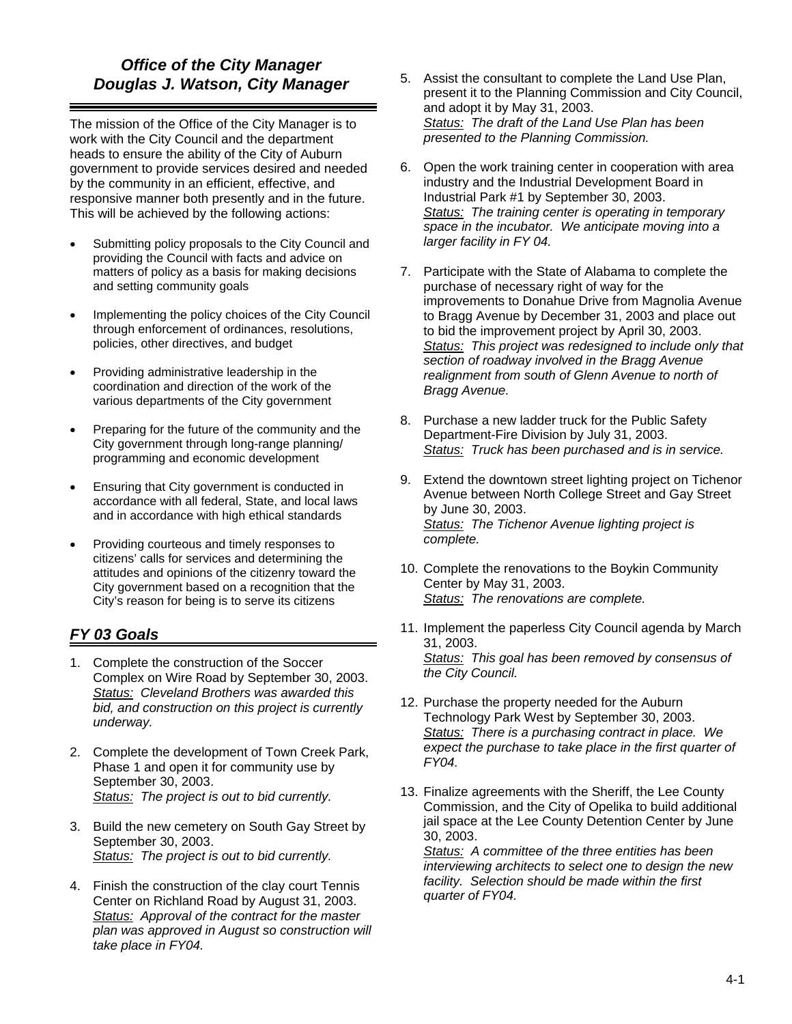#### *Office of the City Manager Douglas J. Watson, City Manager*

The mission of the Office of the City Manager is to work with the City Council and the department heads to ensure the ability of the City of Auburn government to provide services desired and needed by the community in an efficient, effective, and responsive manner both presently and in the future. This will be achieved by the following actions:

- Submitting policy proposals to the City Council and providing the Council with facts and advice on matters of policy as a basis for making decisions and setting community goals
- Implementing the policy choices of the City Council through enforcement of ordinances, resolutions, policies, other directives, and budget
- Providing administrative leadership in the coordination and direction of the work of the various departments of the City government
- Preparing for the future of the community and the City government through long-range planning/ programming and economic development
- Ensuring that City government is conducted in accordance with all federal, State, and local laws and in accordance with high ethical standards
- Providing courteous and timely responses to citizens' calls for services and determining the attitudes and opinions of the citizenry toward the City government based on a recognition that the City's reason for being is to serve its citizens

# *FY 03 Goals*

- 1. Complete the construction of the Soccer Complex on Wire Road by September 30, 2003. *Status: Cleveland Brothers was awarded this bid, and construction on this project is currently underway.*
- 2. Complete the development of Town Creek Park, Phase 1 and open it for community use by September 30, 2003. *Status: The project is out to bid currently.*
- 3. Build the new cemetery on South Gay Street by September 30, 2003. *Status: The project is out to bid currently.*
- 4. Finish the construction of the clay court Tennis Center on Richland Road by August 31, 2003. *Status: Approval of the contract for the master plan was approved in August so construction will take place in FY04.*
- 5. Assist the consultant to complete the Land Use Plan, present it to the Planning Commission and City Council, and adopt it by May 31, 2003. *Status: The draft of the Land Use Plan has been presented to the Planning Commission.*
- 6. Open the work training center in cooperation with area industry and the Industrial Development Board in Industrial Park #1 by September 30, 2003. *Status: The training center is operating in temporary space in the incubator. We anticipate moving into a larger facility in FY 04.*
- 7. Participate with the State of Alabama to complete the purchase of necessary right of way for the improvements to Donahue Drive from Magnolia Avenue to Bragg Avenue by December 31, 2003 and place out to bid the improvement project by April 30, 2003. *Status: This project was redesigned to include only that section of roadway involved in the Bragg Avenue realignment from south of Glenn Avenue to north of Bragg Avenue.*
- 8. Purchase a new ladder truck for the Public Safety Department-Fire Division by July 31, 2003. *Status: Truck has been purchased and is in service.*
- 9. Extend the downtown street lighting project on Tichenor Avenue between North College Street and Gay Street by June 30, 2003. *Status: The Tichenor Avenue lighting project is complete.*
- 10. Complete the renovations to the Boykin Community Center by May 31, 2003. *Status: The renovations are complete.*
- 11. Implement the paperless City Council agenda by March 31, 2003. *Status: This goal has been removed by consensus of the City Council.*
- 12. Purchase the property needed for the Auburn Technology Park West by September 30, 2003. *Status: There is a purchasing contract in place. We expect the purchase to take place in the first quarter of FY04.*
- 13. Finalize agreements with the Sheriff, the Lee County Commission, and the City of Opelika to build additional jail space at the Lee County Detention Center by June 30, 2003.

*Status: A committee of the three entities has been interviewing architects to select one to design the new facility. Selection should be made within the first quarter of FY04.*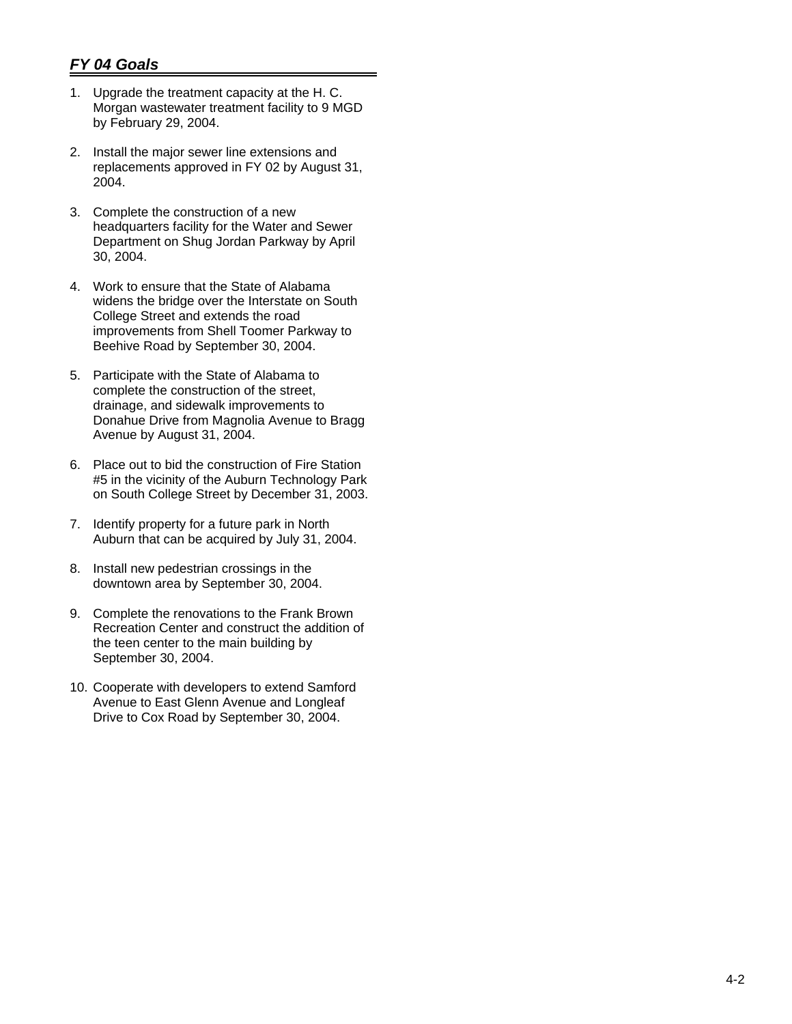- 1. Upgrade the treatment capacity at the H. C. Morgan wastewater treatment facility to 9 MGD by February 29, 2004.
- 2. Install the major sewer line extensions and replacements approved in FY 02 by August 31, 2004.
- 3. Complete the construction of a new headquarters facility for the Water and Sewer Department on Shug Jordan Parkway by April 30, 2004.
- 4. Work to ensure that the State of Alabama widens the bridge over the Interstate on South College Street and extends the road improvements from Shell Toomer Parkway to Beehive Road by September 30, 2004.
- 5. Participate with the State of Alabama to complete the construction of the street, drainage, and sidewalk improvements to Donahue Drive from Magnolia Avenue to Bragg Avenue by August 31, 2004.
- 6. Place out to bid the construction of Fire Station #5 in the vicinity of the Auburn Technology Park on South College Street by December 31, 2003.
- 7. Identify property for a future park in North Auburn that can be acquired by July 31, 2004.
- 8. Install new pedestrian crossings in the downtown area by September 30, 2004.
- 9. Complete the renovations to the Frank Brown Recreation Center and construct the addition of the teen center to the main building by September 30, 2004.
- 10. Cooperate with developers to extend Samford Avenue to East Glenn Avenue and Longleaf Drive to Cox Road by September 30, 2004.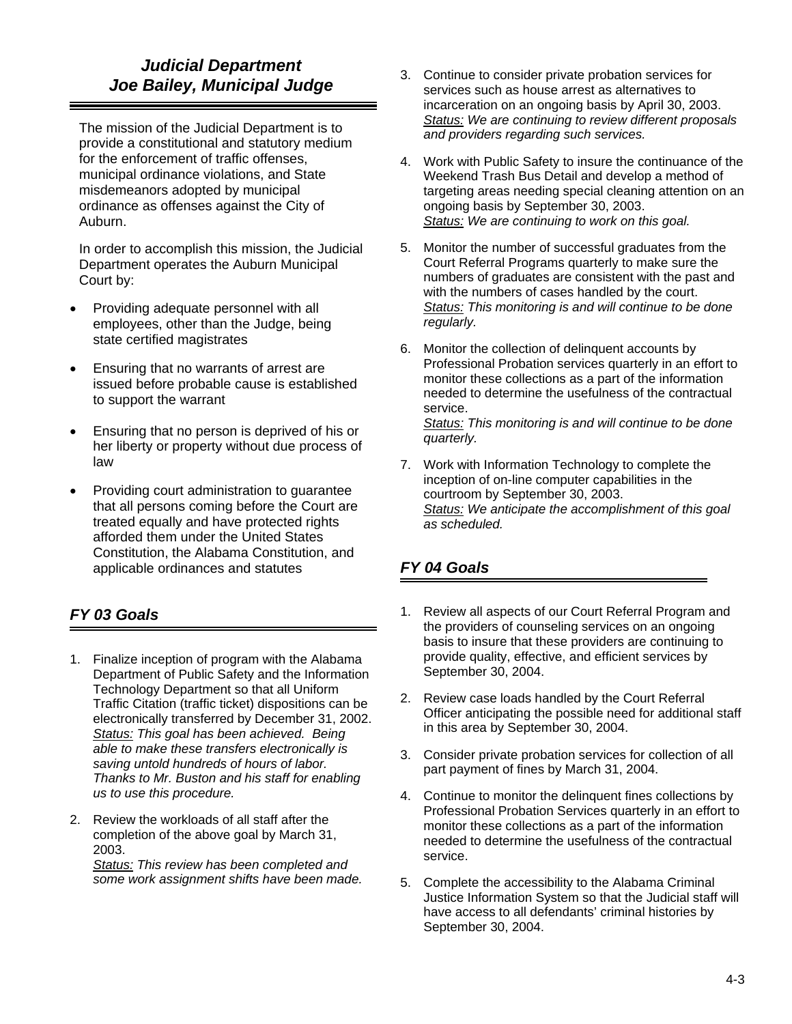# *Judicial Department Joe Bailey, Municipal Judge*

The mission of the Judicial Department is to provide a constitutional and statutory medium for the enforcement of traffic offenses, municipal ordinance violations, and State misdemeanors adopted by municipal ordinance as offenses against the City of Auburn.

In order to accomplish this mission, the Judicial Department operates the Auburn Municipal Court by:

- Providing adequate personnel with all employees, other than the Judge, being state certified magistrates
- Ensuring that no warrants of arrest are issued before probable cause is established to support the warrant
- Ensuring that no person is deprived of his or her liberty or property without due process of law
- Providing court administration to guarantee that all persons coming before the Court are treated equally and have protected rights afforded them under the United States Constitution, the Alabama Constitution, and applicable ordinances and statutes

# *FY 03 Goals*

- 1. Finalize inception of program with the Alabama Department of Public Safety and the Information Technology Department so that all Uniform Traffic Citation (traffic ticket) dispositions can be electronically transferred by December 31, 2002. *Status: This goal has been achieved. Being able to make these transfers electronically is saving untold hundreds of hours of labor. Thanks to Mr. Buston and his staff for enabling us to use this procedure.*
- 2. Review the workloads of all staff after the completion of the above goal by March 31, 2003. *Status: This review has been completed and some work assignment shifts have been made.*
- 3. Continue to consider private probation services for services such as house arrest as alternatives to incarceration on an ongoing basis by April 30, 2003. *Status: We are continuing to review different proposals and providers regarding such services.*
- 4. Work with Public Safety to insure the continuance of the Weekend Trash Bus Detail and develop a method of targeting areas needing special cleaning attention on an ongoing basis by September 30, 2003. *Status: We are continuing to work on this goal.*
- 5. Monitor the number of successful graduates from the Court Referral Programs quarterly to make sure the numbers of graduates are consistent with the past and with the numbers of cases handled by the court. *Status: This monitoring is and will continue to be done regularly.*
- 6. Monitor the collection of delinquent accounts by Professional Probation services quarterly in an effort to monitor these collections as a part of the information needed to determine the usefulness of the contractual service.

*Status: This monitoring is and will continue to be done quarterly.* 

7. Work with Information Technology to complete the inception of on-line computer capabilities in the courtroom by September 30, 2003. *Status: We anticipate the accomplishment of this goal as scheduled.* 

- 1. Review all aspects of our Court Referral Program and the providers of counseling services on an ongoing basis to insure that these providers are continuing to provide quality, effective, and efficient services by September 30, 2004.
- 2. Review case loads handled by the Court Referral Officer anticipating the possible need for additional staff in this area by September 30, 2004.
- 3. Consider private probation services for collection of all part payment of fines by March 31, 2004.
- 4. Continue to monitor the delinquent fines collections by Professional Probation Services quarterly in an effort to monitor these collections as a part of the information needed to determine the usefulness of the contractual service.
- 5. Complete the accessibility to the Alabama Criminal Justice Information System so that the Judicial staff will have access to all defendants' criminal histories by September 30, 2004.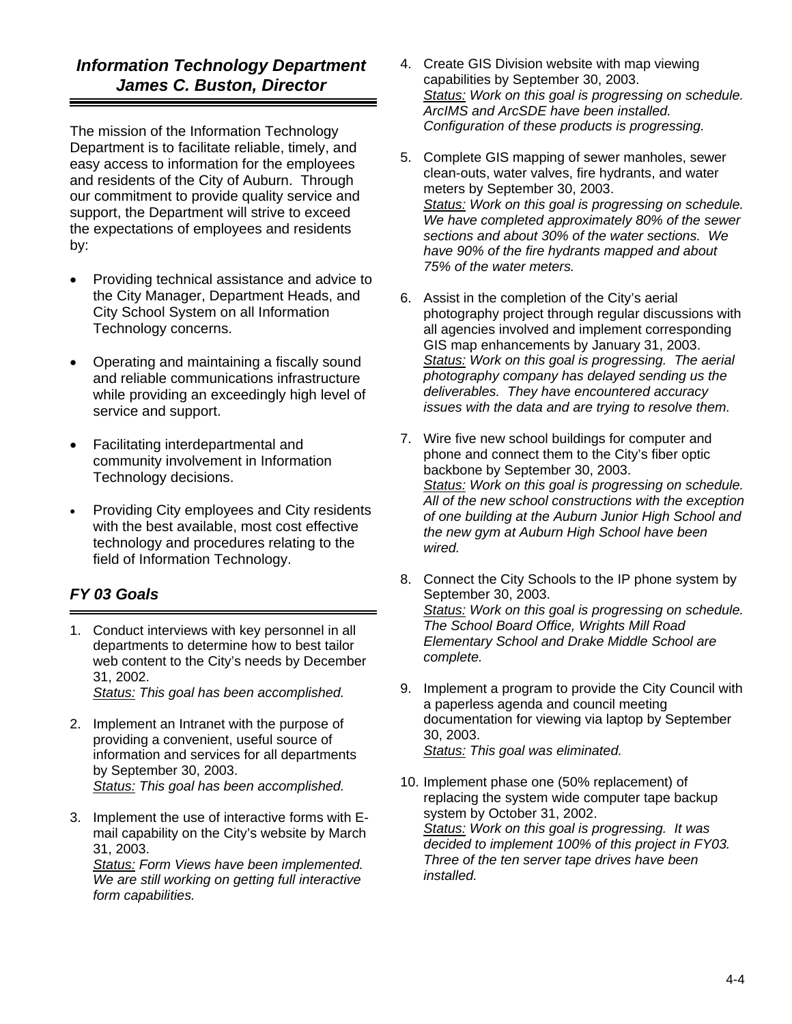# *Information Technology Department James C. Buston, Director*

The mission of the Information Technology Department is to facilitate reliable, timely, and easy access to information for the employees and residents of the City of Auburn. Through our commitment to provide quality service and support, the Department will strive to exceed the expectations of employees and residents by:

- Providing technical assistance and advice to the City Manager, Department Heads, and City School System on all Information Technology concerns.
- Operating and maintaining a fiscally sound and reliable communications infrastructure while providing an exceedingly high level of service and support.
- Facilitating interdepartmental and community involvement in Information Technology decisions.
- Providing City employees and City residents with the best available, most cost effective technology and procedures relating to the field of Information Technology.

# *FY 03 Goals*

1. Conduct interviews with key personnel in all departments to determine how to best tailor web content to the City's needs by December 31, 2002. *Status: This goal has been accomplished.* 

- 2. Implement an Intranet with the purpose of providing a convenient, useful source of information and services for all departments by September 30, 2003. *Status: This goal has been accomplished.*
- 3. Implement the use of interactive forms with Email capability on the City's website by March 31, 2003.

*Status: Form Views have been implemented. We are still working on getting full interactive form capabilities.* 

- 4. Create GIS Division website with map viewing capabilities by September 30, 2003. *Status: Work on this goal is progressing on schedule. ArcIMS and ArcSDE have been installed. Configuration of these products is progressing.*
- 5. Complete GIS mapping of sewer manholes, sewer clean-outs, water valves, fire hydrants, and water meters by September 30, 2003. *Status: Work on this goal is progressing on schedule. We have completed approximately 80% of the sewer sections and about 30% of the water sections. We have 90% of the fire hydrants mapped and about 75% of the water meters.*
- 6. Assist in the completion of the City's aerial photography project through regular discussions with all agencies involved and implement corresponding GIS map enhancements by January 31, 2003. *Status: Work on this goal is progressing. The aerial photography company has delayed sending us the deliverables. They have encountered accuracy issues with the data and are trying to resolve them.*
- 7. Wire five new school buildings for computer and phone and connect them to the City's fiber optic backbone by September 30, 2003. *Status: Work on this goal is progressing on schedule. All of the new school constructions with the exception of one building at the Auburn Junior High School and the new gym at Auburn High School have been wired.*
- 8. Connect the City Schools to the IP phone system by September 30, 2003. *Status: Work on this goal is progressing on schedule. The School Board Office, Wrights Mill Road Elementary School and Drake Middle School are complete.*
- 9. Implement a program to provide the City Council with a paperless agenda and council meeting documentation for viewing via laptop by September 30, 2003. *Status: This goal was eliminated.*
- 10. Implement phase one (50% replacement) of replacing the system wide computer tape backup system by October 31, 2002. *Status: Work on this goal is progressing. It was decided to implement 100% of this project in FY03. Three of the ten server tape drives have been installed.*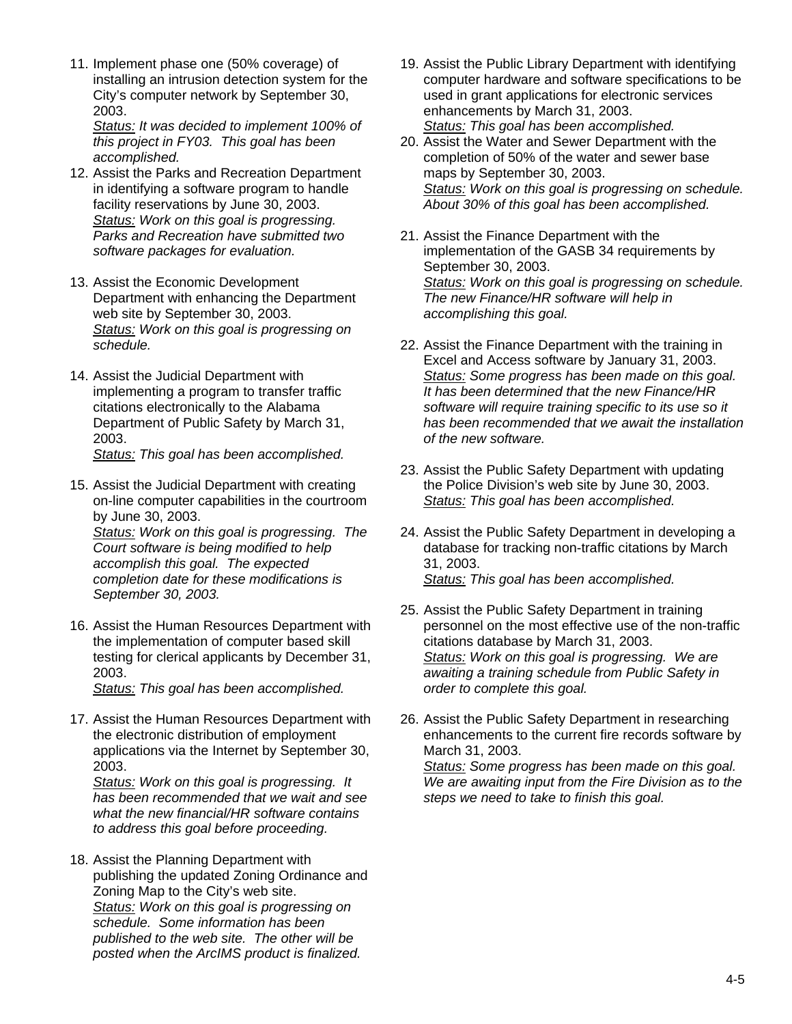11. Implement phase one (50% coverage) of installing an intrusion detection system for the City's computer network by September 30, 2003.

*Status: It was decided to implement 100% of this project in FY03. This goal has been accomplished.* 

- 12. Assist the Parks and Recreation Department in identifying a software program to handle facility reservations by June 30, 2003. *Status: Work on this goal is progressing. Parks and Recreation have submitted two software packages for evaluation.*
- 13. Assist the Economic Development Department with enhancing the Department web site by September 30, 2003. *Status: Work on this goal is progressing on schedule.*
- 14. Assist the Judicial Department with implementing a program to transfer traffic citations electronically to the Alabama Department of Public Safety by March 31, 2003. *Status: This goal has been accomplished.*
- 15. Assist the Judicial Department with creating on-line computer capabilities in the courtroom by June 30, 2003.

*Status: Work on this goal is progressing. The Court software is being modified to help accomplish this goal. The expected completion date for these modifications is September 30, 2003.* 

16. Assist the Human Resources Department with the implementation of computer based skill testing for clerical applicants by December 31, 2003.

*Status: This goal has been accomplished.* 

17. Assist the Human Resources Department with the electronic distribution of employment applications via the Internet by September 30, 2003.

*Status: Work on this goal is progressing. It has been recommended that we wait and see what the new financial/HR software contains to address this goal before proceeding.* 

18. Assist the Planning Department with publishing the updated Zoning Ordinance and Zoning Map to the City's web site. *Status: Work on this goal is progressing on schedule. Some information has been published to the web site. The other will be posted when the ArcIMS product is finalized.* 

- 19. Assist the Public Library Department with identifying computer hardware and software specifications to be used in grant applications for electronic services enhancements by March 31, 2003. *Status: This goal has been accomplished.*
- 20. Assist the Water and Sewer Department with the completion of 50% of the water and sewer base maps by September 30, 2003. *Status: Work on this goal is progressing on schedule. About 30% of this goal has been accomplished.*
- 21. Assist the Finance Department with the implementation of the GASB 34 requirements by September 30, 2003. *Status: Work on this goal is progressing on schedule. The new Finance/HR software will help in accomplishing this goal.*
- 22. Assist the Finance Department with the training in Excel and Access software by January 31, 2003. *Status: Some progress has been made on this goal. It has been determined that the new Finance/HR software will require training specific to its use so it has been recommended that we await the installation of the new software.*
- 23. Assist the Public Safety Department with updating the Police Division's web site by June 30, 2003. *Status: This goal has been accomplished.*
- 24. Assist the Public Safety Department in developing a database for tracking non-traffic citations by March 31, 2003. *Status: This goal has been accomplished.*
- 25. Assist the Public Safety Department in training personnel on the most effective use of the non-traffic citations database by March 31, 2003. *Status: Work on this goal is progressing. We are awaiting a training schedule from Public Safety in order to complete this goal.*
- 26. Assist the Public Safety Department in researching enhancements to the current fire records software by March 31, 2003. *Status: Some progress has been made on this goal. We are awaiting input from the Fire Division as to the*

*steps we need to take to finish this goal.*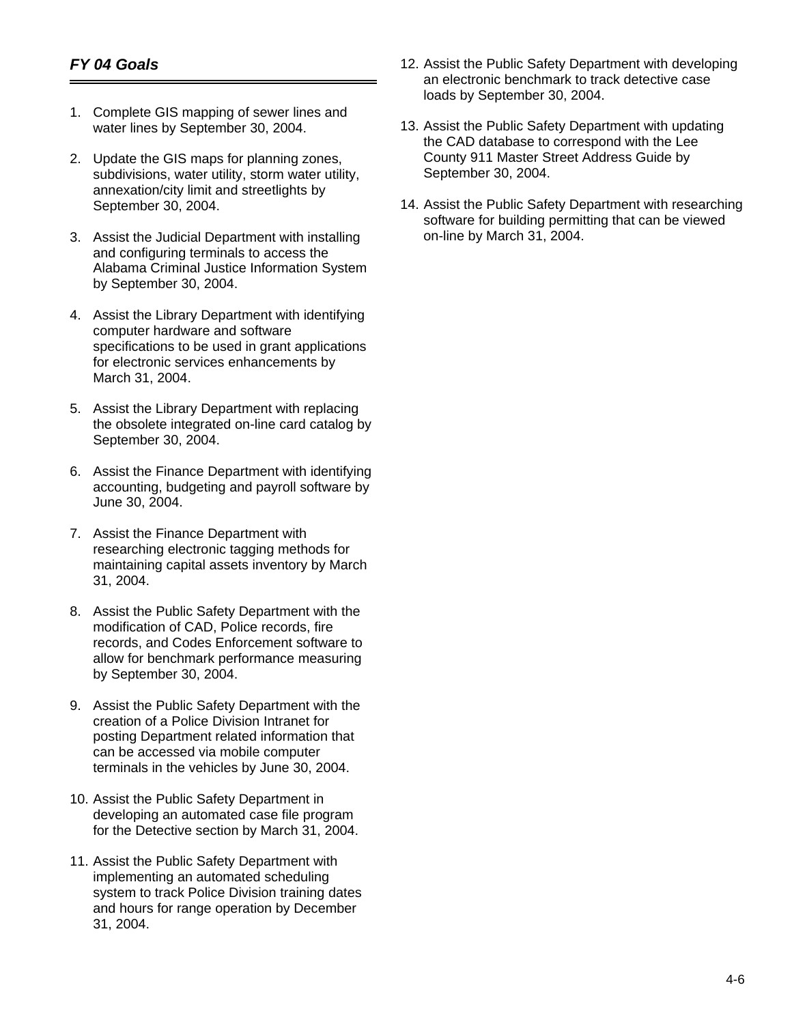- 1. Complete GIS mapping of sewer lines and water lines by September 30, 2004.
- 2. Update the GIS maps for planning zones, subdivisions, water utility, storm water utility, annexation/city limit and streetlights by September 30, 2004.
- 3. Assist the Judicial Department with installing and configuring terminals to access the Alabama Criminal Justice Information System by September 30, 2004.
- 4. Assist the Library Department with identifying computer hardware and software specifications to be used in grant applications for electronic services enhancements by March 31, 2004.
- 5. Assist the Library Department with replacing the obsolete integrated on-line card catalog by September 30, 2004.
- 6. Assist the Finance Department with identifying accounting, budgeting and payroll software by June 30, 2004.
- 7. Assist the Finance Department with researching electronic tagging methods for maintaining capital assets inventory by March 31, 2004.
- 8. Assist the Public Safety Department with the modification of CAD, Police records, fire records, and Codes Enforcement software to allow for benchmark performance measuring by September 30, 2004.
- 9. Assist the Public Safety Department with the creation of a Police Division Intranet for posting Department related information that can be accessed via mobile computer terminals in the vehicles by June 30, 2004.
- 10. Assist the Public Safety Department in developing an automated case file program for the Detective section by March 31, 2004.
- 11. Assist the Public Safety Department with implementing an automated scheduling system to track Police Division training dates and hours for range operation by December 31, 2004.
- 12. Assist the Public Safety Department with developing an electronic benchmark to track detective case loads by September 30, 2004.
- 13. Assist the Public Safety Department with updating the CAD database to correspond with the Lee County 911 Master Street Address Guide by September 30, 2004.
- 14. Assist the Public Safety Department with researching software for building permitting that can be viewed on-line by March 31, 2004.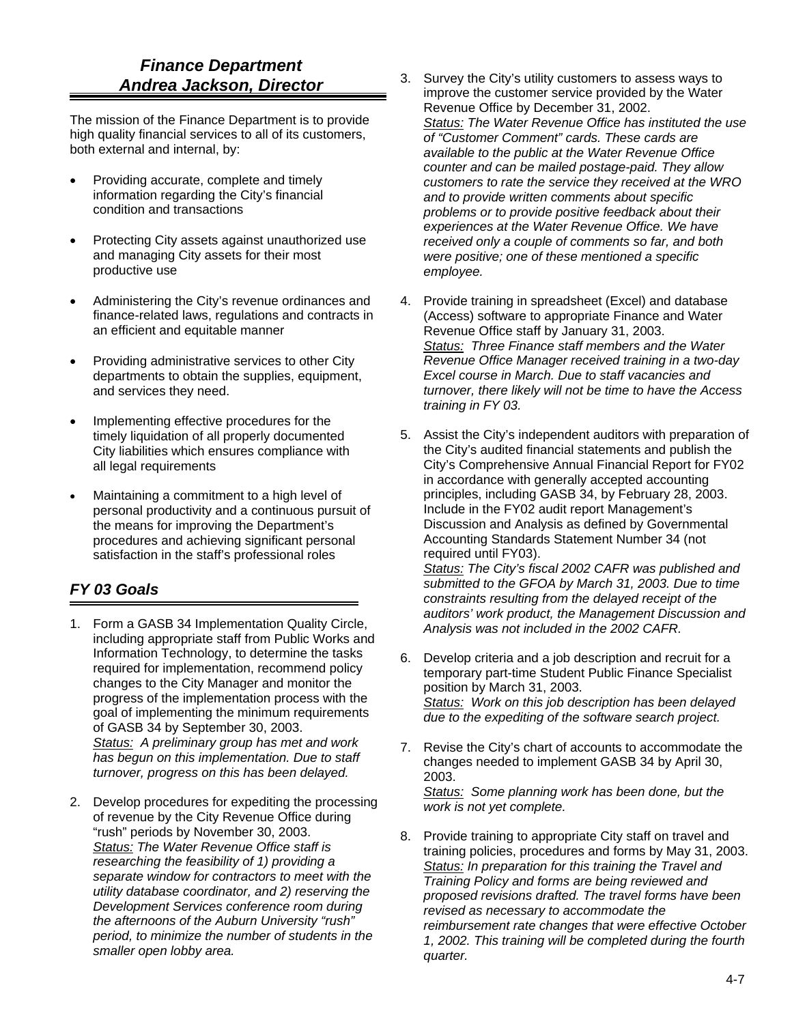## *Finance Department Andrea Jackson, Director*

The mission of the Finance Department is to provide high quality financial services to all of its customers, both external and internal, by:

- Providing accurate, complete and timely information regarding the City's financial condition and transactions
- Protecting City assets against unauthorized use and managing City assets for their most productive use
- Administering the City's revenue ordinances and finance-related laws, regulations and contracts in an efficient and equitable manner
- Providing administrative services to other City departments to obtain the supplies, equipment, and services they need.
- Implementing effective procedures for the timely liquidation of all properly documented City liabilities which ensures compliance with all legal requirements
- Maintaining a commitment to a high level of personal productivity and a continuous pursuit of the means for improving the Department's procedures and achieving significant personal satisfaction in the staff's professional roles

- 1. Form a GASB 34 Implementation Quality Circle, including appropriate staff from Public Works and Information Technology, to determine the tasks required for implementation, recommend policy changes to the City Manager and monitor the progress of the implementation process with the goal of implementing the minimum requirements of GASB 34 by September 30, 2003. *Status: A preliminary group has met and work has begun on this implementation. Due to staff turnover, progress on this has been delayed.*
- 2. Develop procedures for expediting the processing of revenue by the City Revenue Office during "rush" periods by November 30, 2003. *Status: The Water Revenue Office staff is researching the feasibility of 1) providing a separate window for contractors to meet with the utility database coordinator, and 2) reserving the Development Services conference room during the afternoons of the Auburn University "rush" period, to minimize the number of students in the smaller open lobby area.*
- 3. Survey the City's utility customers to assess ways to improve the customer service provided by the Water Revenue Office by December 31, 2002. *Status: The Water Revenue Office has instituted the use of "Customer Comment" cards. These cards are available to the public at the Water Revenue Office counter and can be mailed postage-paid. They allow customers to rate the service they received at the WRO and to provide written comments about specific problems or to provide positive feedback about their experiences at the Water Revenue Office. We have received only a couple of comments so far, and both were positive; one of these mentioned a specific employee.*
- 4. Provide training in spreadsheet (Excel) and database (Access) software to appropriate Finance and Water Revenue Office staff by January 31, 2003. *Status: Three Finance staff members and the Water Revenue Office Manager received training in a two-day Excel course in March. Due to staff vacancies and turnover, there likely will not be time to have the Access training in FY 03.*
- 5. Assist the City's independent auditors with preparation of the City's audited financial statements and publish the City's Comprehensive Annual Financial Report for FY02 in accordance with generally accepted accounting principles, including GASB 34, by February 28, 2003. Include in the FY02 audit report Management's Discussion and Analysis as defined by Governmental Accounting Standards Statement Number 34 (not required until FY03). *Status: The City's fiscal 2002 CAFR was published and submitted to the GFOA by March 31, 2003. Due to time constraints resulting from the delayed receipt of the auditors' work product, the Management Discussion and Analysis was not included in the 2002 CAFR.*
- 6. Develop criteria and a job description and recruit for a temporary part-time Student Public Finance Specialist position by March 31, 2003. *Status: Work on this job description has been delayed due to the expediting of the software search project.*
- 7. Revise the City's chart of accounts to accommodate the changes needed to implement GASB 34 by April 30, 2003. *Status: Some planning work has been done, but the work is not yet complete.*
- 8. Provide training to appropriate City staff on travel and training policies, procedures and forms by May 31, 2003. *Status: In preparation for this training the Travel and Training Policy and forms are being reviewed and proposed revisions drafted. The travel forms have been revised as necessary to accommodate the reimbursement rate changes that were effective October 1, 2002. This training will be completed during the fourth quarter.*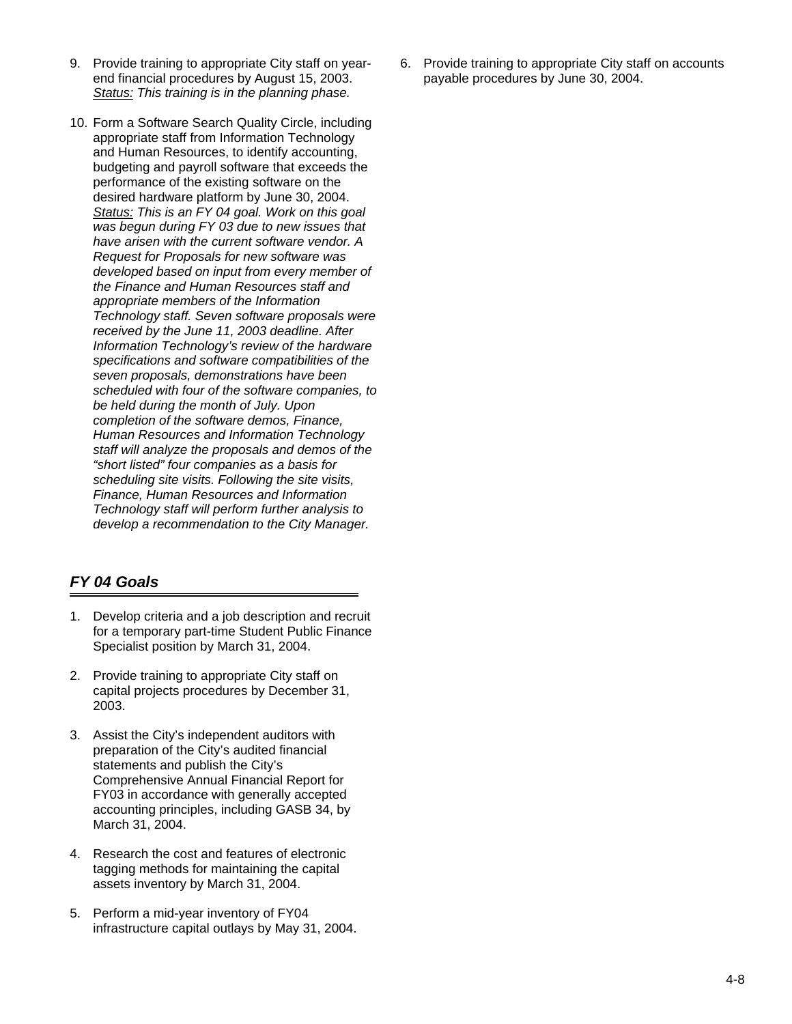- 9. Provide training to appropriate City staff on yearend financial procedures by August 15, 2003. *Status: This training is in the planning phase.*
- 10. Form a Software Search Quality Circle, including appropriate staff from Information Technology and Human Resources, to identify accounting, budgeting and payroll software that exceeds the performance of the existing software on the desired hardware platform by June 30, 2004. *Status: This is an FY 04 goal. Work on this goal was begun during FY 03 due to new issues that have arisen with the current software vendor. A Request for Proposals for new software was developed based on input from every member of the Finance and Human Resources staff and appropriate members of the Information Technology staff. Seven software proposals were received by the June 11, 2003 deadline. After Information Technology's review of the hardware specifications and software compatibilities of the seven proposals, demonstrations have been scheduled with four of the software companies, to be held during the month of July. Upon completion of the software demos, Finance, Human Resources and Information Technology staff will analyze the proposals and demos of the "short listed" four companies as a basis for scheduling site visits. Following the site visits, Finance, Human Resources and Information Technology staff will perform further analysis to develop a recommendation to the City Manager.*

#### *FY 04 Goals*

- 1. Develop criteria and a job description and recruit for a temporary part-time Student Public Finance Specialist position by March 31, 2004.
- 2. Provide training to appropriate City staff on capital projects procedures by December 31, 2003.
- 3. Assist the City's independent auditors with preparation of the City's audited financial statements and publish the City's Comprehensive Annual Financial Report for FY03 in accordance with generally accepted accounting principles, including GASB 34, by March 31, 2004.
- 4. Research the cost and features of electronic tagging methods for maintaining the capital assets inventory by March 31, 2004.
- 5. Perform a mid-year inventory of FY04 infrastructure capital outlays by May 31, 2004.

6. Provide training to appropriate City staff on accounts payable procedures by June 30, 2004.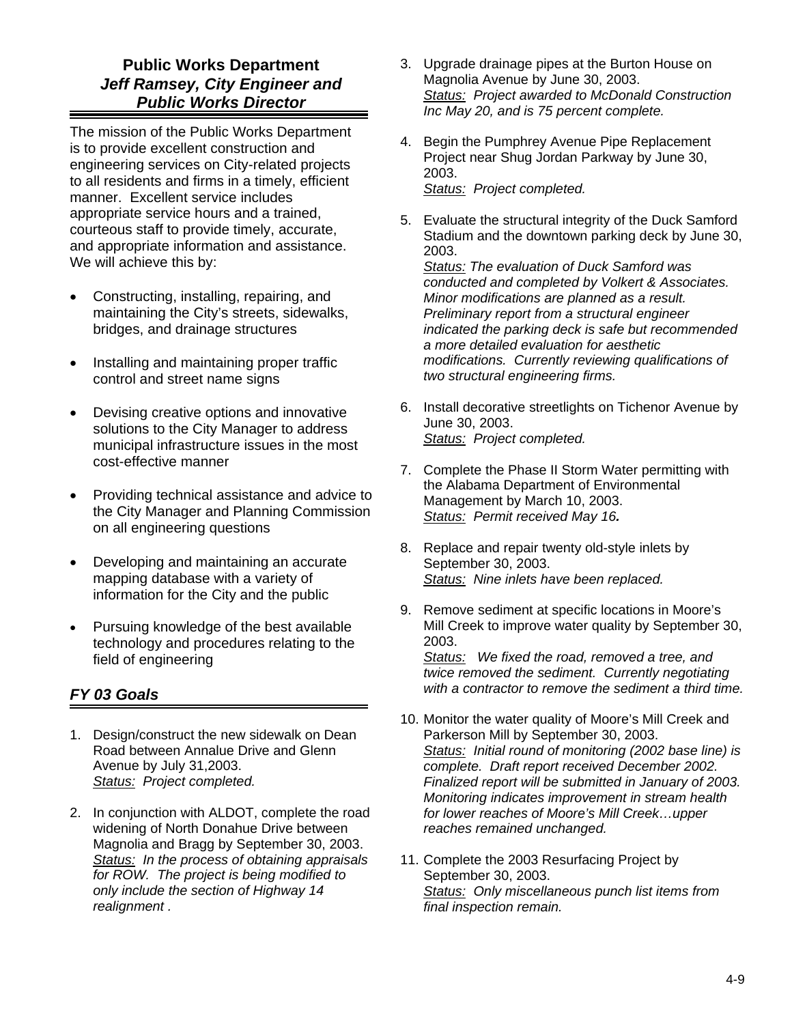## **Public Works Department**  *Jeff Ramsey, City Engineer and Public Works Director*

The mission of the Public Works Department is to provide excellent construction and engineering services on City-related projects to all residents and firms in a timely, efficient manner. Excellent service includes appropriate service hours and a trained, courteous staff to provide timely, accurate, and appropriate information and assistance. We will achieve this by:

- Constructing, installing, repairing, and maintaining the City's streets, sidewalks, bridges, and drainage structures
- Installing and maintaining proper traffic control and street name signs
- Devising creative options and innovative solutions to the City Manager to address municipal infrastructure issues in the most cost-effective manner
- Providing technical assistance and advice to the City Manager and Planning Commission on all engineering questions
- Developing and maintaining an accurate mapping database with a variety of information for the City and the public
- Pursuing knowledge of the best available technology and procedures relating to the field of engineering

#### *FY 03 Goals*

- 1. Design/construct the new sidewalk on Dean Road between Annalue Drive and Glenn Avenue by July 31,2003. *Status: Project completed.*
- 2. In conjunction with ALDOT, complete the road widening of North Donahue Drive between Magnolia and Bragg by September 30, 2003. *Status: In the process of obtaining appraisals for ROW. The project is being modified to only include the section of Highway 14 realignment .*
- 3. Upgrade drainage pipes at the Burton House on Magnolia Avenue by June 30, 2003. *Status: Project awarded to McDonald Construction Inc May 20, and is 75 percent complete.*
- 4. Begin the Pumphrey Avenue Pipe Replacement Project near Shug Jordan Parkway by June 30, 2003. *Status: Project completed.*
- 5. Evaluate the structural integrity of the Duck Samford Stadium and the downtown parking deck by June 30, 2003.

*Status: The evaluation of Duck Samford was conducted and completed by Volkert & Associates. Minor modifications are planned as a result. Preliminary report from a structural engineer indicated the parking deck is safe but recommended a more detailed evaluation for aesthetic modifications. Currently reviewing qualifications of two structural engineering firms.* 

- 6. Install decorative streetlights on Tichenor Avenue by June 30, 2003. *Status: Project completed.*
- 7. Complete the Phase II Storm Water permitting with the Alabama Department of Environmental Management by March 10, 2003. *Status: Permit received May 16.*
- 8. Replace and repair twenty old-style inlets by September 30, 2003. *Status: Nine inlets have been replaced.*
- 9. Remove sediment at specific locations in Moore's Mill Creek to improve water quality by September 30, 2003.

*Status: We fixed the road, removed a tree, and twice removed the sediment. Currently negotiating with a contractor to remove the sediment a third time.* 

- 10. Monitor the water quality of Moore's Mill Creek and Parkerson Mill by September 30, 2003. *Status: Initial round of monitoring (2002 base line) is complete. Draft report received December 2002. Finalized report will be submitted in January of 2003. Monitoring indicates improvement in stream health for lower reaches of Moore's Mill Creek…upper reaches remained unchanged.*
- 11. Complete the 2003 Resurfacing Project by September 30, 2003. *Status: Only miscellaneous punch list items from final inspection remain.*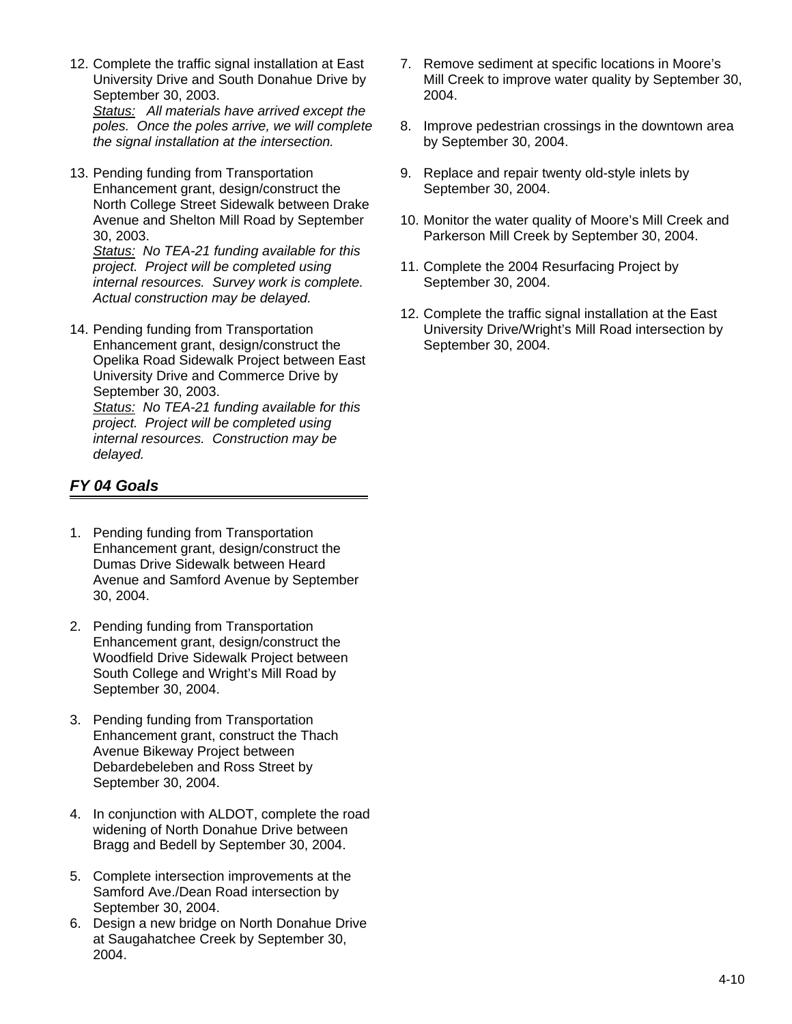- 12. Complete the traffic signal installation at East University Drive and South Donahue Drive by September 30, 2003. *Status: All materials have arrived except the poles. Once the poles arrive, we will complete the signal installation at the intersection.*
- 13. Pending funding from Transportation Enhancement grant, design/construct the North College Street Sidewalk between Drake Avenue and Shelton Mill Road by September 30, 2003.

*Status: No TEA-21 funding available for this project. Project will be completed using internal resources. Survey work is complete. Actual construction may be delayed.* 

14. Pending funding from Transportation Enhancement grant, design/construct the Opelika Road Sidewalk Project between East University Drive and Commerce Drive by September 30, 2003.

*Status: No TEA-21 funding available for this project. Project will be completed using internal resources. Construction may be delayed.* 

- 1. Pending funding from Transportation Enhancement grant, design/construct the Dumas Drive Sidewalk between Heard Avenue and Samford Avenue by September 30, 2004.
- 2. Pending funding from Transportation Enhancement grant, design/construct the Woodfield Drive Sidewalk Project between South College and Wright's Mill Road by September 30, 2004.
- 3. Pending funding from Transportation Enhancement grant, construct the Thach Avenue Bikeway Project between Debardebeleben and Ross Street by September 30, 2004.
- 4. In conjunction with ALDOT, complete the road widening of North Donahue Drive between Bragg and Bedell by September 30, 2004.
- 5. Complete intersection improvements at the Samford Ave./Dean Road intersection by September 30, 2004.
- 6. Design a new bridge on North Donahue Drive at Saugahatchee Creek by September 30, 2004.
- 7. Remove sediment at specific locations in Moore's Mill Creek to improve water quality by September 30, 2004.
- 8. Improve pedestrian crossings in the downtown area by September 30, 2004.
- 9. Replace and repair twenty old-style inlets by September 30, 2004.
- 10. Monitor the water quality of Moore's Mill Creek and Parkerson Mill Creek by September 30, 2004.
- 11. Complete the 2004 Resurfacing Project by September 30, 2004.
- 12. Complete the traffic signal installation at the East University Drive/Wright's Mill Road intersection by September 30, 2004.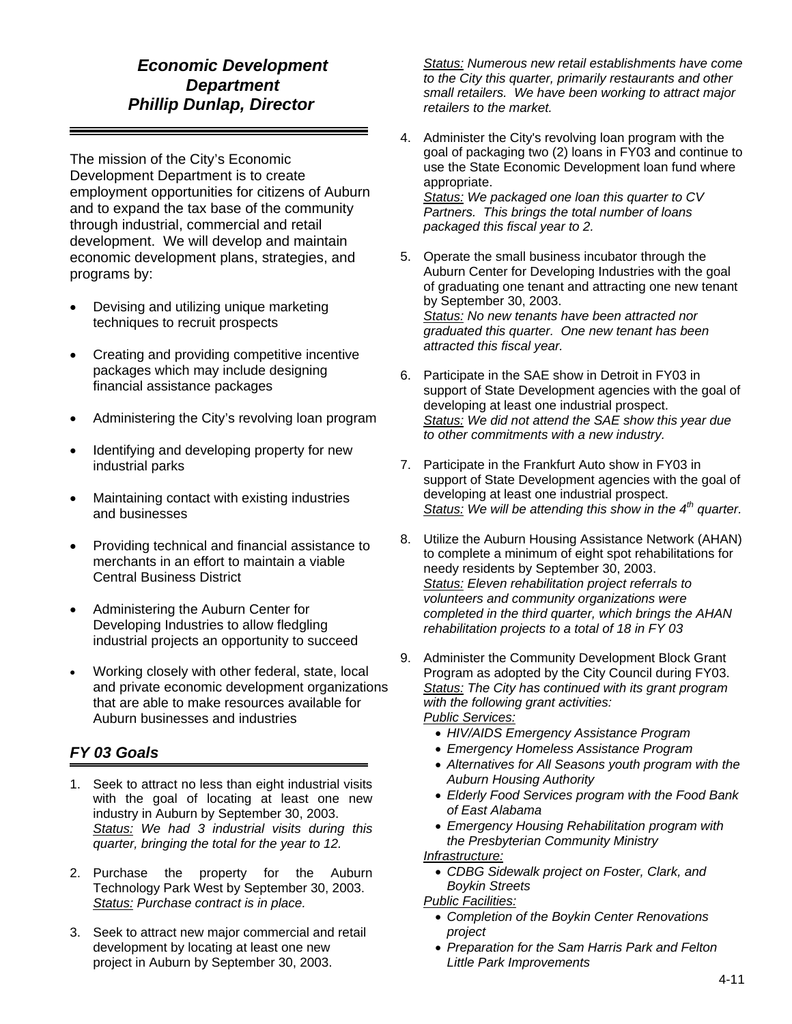# *Economic Development Department Phillip Dunlap, Director*

The mission of the City's Economic Development Department is to create employment opportunities for citizens of Auburn and to expand the tax base of the community through industrial, commercial and retail development. We will develop and maintain economic development plans, strategies, and programs by:

- Devising and utilizing unique marketing techniques to recruit prospects
- Creating and providing competitive incentive packages which may include designing financial assistance packages
- Administering the City's revolving loan program
- Identifying and developing property for new industrial parks
- Maintaining contact with existing industries and businesses
- Providing technical and financial assistance to merchants in an effort to maintain a viable Central Business District
- Administering the Auburn Center for Developing Industries to allow fledgling industrial projects an opportunity to succeed
- Working closely with other federal, state, local and private economic development organizations that are able to make resources available for Auburn businesses and industries

#### *FY 03 Goals*

- 1. Seek to attract no less than eight industrial visits with the goal of locating at least one new industry in Auburn by September 30, 2003. *Status: We had 3 industrial visits during this quarter, bringing the total for the year to 12.*
- 2. Purchase the property for the Auburn Technology Park West by September 30, 2003. *Status: Purchase contract is in place.*
- 3. Seek to attract new major commercial and retail development by locating at least one new project in Auburn by September 30, 2003.

*Status: Numerous new retail establishments have come to the City this quarter, primarily restaurants and other small retailers. We have been working to attract major retailers to the market.* 

- 4. Administer the City's revolving loan program with the goal of packaging two (2) loans in FY03 and continue to use the State Economic Development loan fund where appropriate. *Status: We packaged one loan this quarter to CV Partners. This brings the total number of loans packaged this fiscal year to 2.*
- 5. Operate the small business incubator through the Auburn Center for Developing Industries with the goal of graduating one tenant and attracting one new tenant by September 30, 2003. *Status: No new tenants have been attracted nor graduated this quarter. One new tenant has been attracted this fiscal year.*
- 6. Participate in the SAE show in Detroit in FY03 in support of State Development agencies with the goal of developing at least one industrial prospect. *Status: We did not attend the SAE show this year due to other commitments with a new industry.*
- 7. Participate in the Frankfurt Auto show in FY03 in support of State Development agencies with the goal of developing at least one industrial prospect. *Status: We will be attending this show in the 4th quarter.*
- 8. Utilize the Auburn Housing Assistance Network (AHAN) to complete a minimum of eight spot rehabilitations for needy residents by September 30, 2003. *Status: Eleven rehabilitation project referrals to volunteers and community organizations were completed in the third quarter, which brings the AHAN rehabilitation projects to a total of 18 in FY 03*
- 9. Administer the Community Development Block Grant Program as adopted by the City Council during FY03. *Status: The City has continued with its grant program with the following grant activities: Public Services:*
	- *HIV/AIDS Emergency Assistance Program*
	- *Emergency Homeless Assistance Program*
	- *Alternatives for All Seasons youth program with the Auburn Housing Authority*
	- *Elderly Food Services program with the Food Bank of East Alabama*
	- *Emergency Housing Rehabilitation program with the Presbyterian Community Ministry*

#### *Infrastructure:*

• *CDBG Sidewalk project on Foster, Clark, and Boykin Streets* 

#### *Public Facilities:*

- *Completion of the Boykin Center Renovations project*
- *Preparation for the Sam Harris Park and Felton Little Park Improvements*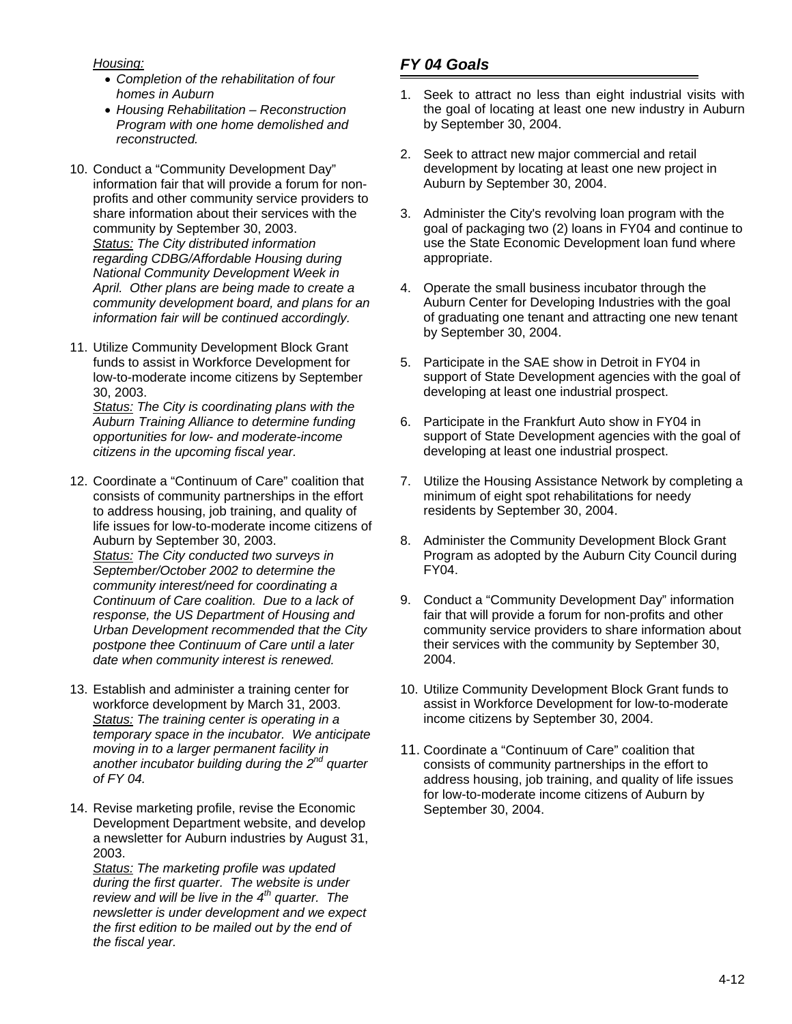*Housing:*

- *Completion of the rehabilitation of four homes in Auburn*
- *Housing Rehabilitation Reconstruction Program with one home demolished and reconstructed.*
- 10. Conduct a "Community Development Day" information fair that will provide a forum for nonprofits and other community service providers to share information about their services with the community by September 30, 2003. *Status: The City distributed information regarding CDBG/Affordable Housing during National Community Development Week in April. Other plans are being made to create a community development board, and plans for an information fair will be continued accordingly.*
- 11. Utilize Community Development Block Grant funds to assist in Workforce Development for low-to-moderate income citizens by September 30, 2003.

*Status: The City is coordinating plans with the Auburn Training Alliance to determine funding opportunities for low- and moderate-income citizens in the upcoming fiscal year.* 

- 12. Coordinate a "Continuum of Care" coalition that consists of community partnerships in the effort to address housing, job training, and quality of life issues for low-to-moderate income citizens of Auburn by September 30, 2003. *Status: The City conducted two surveys in September/October 2002 to determine the community interest/need for coordinating a Continuum of Care coalition. Due to a lack of response, the US Department of Housing and Urban Development recommended that the City postpone thee Continuum of Care until a later date when community interest is renewed.*
- 13. Establish and administer a training center for workforce development by March 31, 2003. *Status: The training center is operating in a temporary space in the incubator. We anticipate moving in to a larger permanent facility in another incubator building during the 2nd quarter of FY 04.*
- 14. Revise marketing profile, revise the Economic Development Department website, and develop a newsletter for Auburn industries by August 31, 2003.

*Status: The marketing profile was updated during the first quarter. The website is under review and will be live in the 4th quarter. The newsletter is under development and we expect the first edition to be mailed out by the end of the fiscal year.* 

- 1. Seek to attract no less than eight industrial visits with the goal of locating at least one new industry in Auburn by September 30, 2004.
- 2. Seek to attract new major commercial and retail development by locating at least one new project in Auburn by September 30, 2004.
- 3. Administer the City's revolving loan program with the goal of packaging two (2) loans in FY04 and continue to use the State Economic Development loan fund where appropriate.
- 4. Operate the small business incubator through the Auburn Center for Developing Industries with the goal of graduating one tenant and attracting one new tenant by September 30, 2004.
- 5. Participate in the SAE show in Detroit in FY04 in support of State Development agencies with the goal of developing at least one industrial prospect.
- 6. Participate in the Frankfurt Auto show in FY04 in support of State Development agencies with the goal of developing at least one industrial prospect.
- 7. Utilize the Housing Assistance Network by completing a minimum of eight spot rehabilitations for needy residents by September 30, 2004.
- 8. Administer the Community Development Block Grant Program as adopted by the Auburn City Council during FY04.
- 9. Conduct a "Community Development Day" information fair that will provide a forum for non-profits and other community service providers to share information about their services with the community by September 30, 2004.
- 10. Utilize Community Development Block Grant funds to assist in Workforce Development for low-to-moderate income citizens by September 30, 2004.
- 11. Coordinate a "Continuum of Care" coalition that consists of community partnerships in the effort to address housing, job training, and quality of life issues for low-to-moderate income citizens of Auburn by September 30, 2004.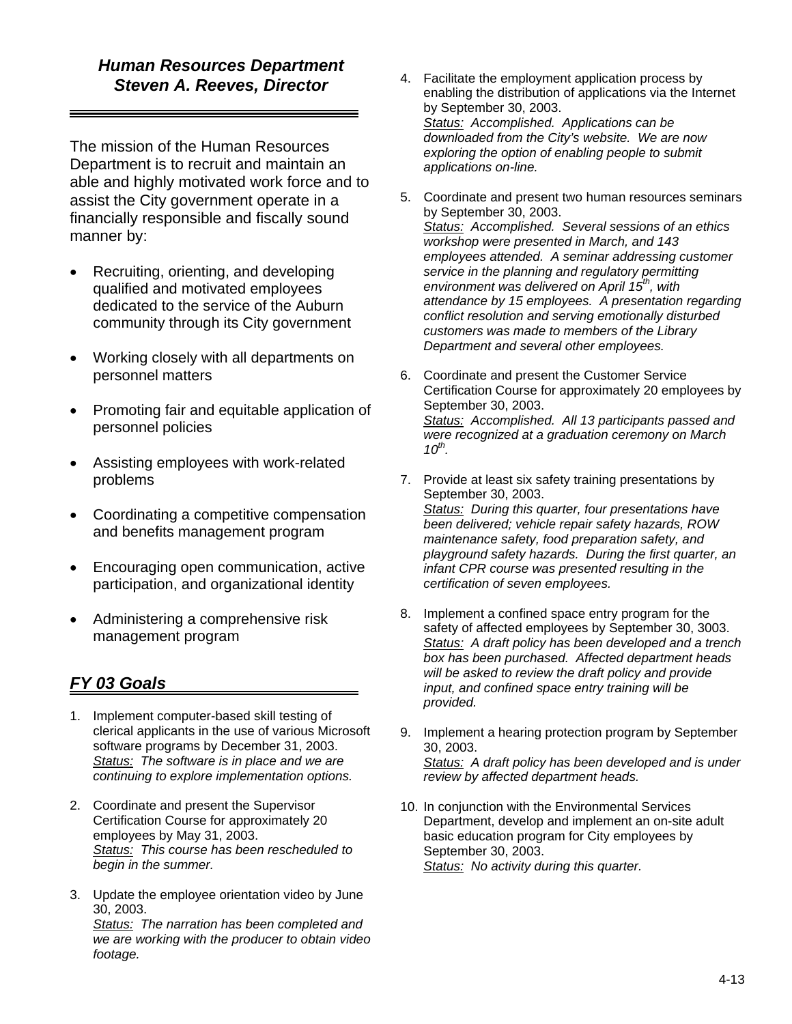# *Human Resources Department Steven A. Reeves, Director*

The mission of the Human Resources Department is to recruit and maintain an able and highly motivated work force and to assist the City government operate in a financially responsible and fiscally sound manner by:

- Recruiting, orienting, and developing qualified and motivated employees dedicated to the service of the Auburn community through its City government
- Working closely with all departments on personnel matters
- Promoting fair and equitable application of personnel policies
- Assisting employees with work-related problems
- Coordinating a competitive compensation and benefits management program
- Encouraging open communication, active participation, and organizational identity
- Administering a comprehensive risk management program

- 1. Implement computer-based skill testing of clerical applicants in the use of various Microsoft software programs by December 31, 2003. *Status: The software is in place and we are continuing to explore implementation options.*
- 2. Coordinate and present the Supervisor Certification Course for approximately 20 employees by May 31, 2003. *Status: This course has been rescheduled to begin in the summer.*
- 3. Update the employee orientation video by June 30, 2003. *Status: The narration has been completed and we are working with the producer to obtain video footage.*
- 4. Facilitate the employment application process by enabling the distribution of applications via the Internet by September 30, 2003. *Status: Accomplished. Applications can be downloaded from the City's website. We are now exploring the option of enabling people to submit applications on-line.*
- 5. Coordinate and present two human resources seminars by September 30, 2003. *Status: Accomplished. Several sessions of an ethics workshop were presented in March, and 143 employees attended. A seminar addressing customer service in the planning and regulatory permitting environment was delivered on April 15th, with attendance by 15 employees. A presentation regarding conflict resolution and serving emotionally disturbed customers was made to members of the Library Department and several other employees.*
- 6. Coordinate and present the Customer Service Certification Course for approximately 20 employees by September 30, 2003. *Status: Accomplished. All 13 participants passed and were recognized at a graduation ceremony on March 10th.*
- 7. Provide at least six safety training presentations by September 30, 2003. *Status: During this quarter, four presentations have been delivered; vehicle repair safety hazards, ROW maintenance safety, food preparation safety, and playground safety hazards. During the first quarter, an infant CPR course was presented resulting in the certification of seven employees.*
- 8. Implement a confined space entry program for the safety of affected employees by September 30, 3003. *Status: A draft policy has been developed and a trench box has been purchased. Affected department heads will be asked to review the draft policy and provide input, and confined space entry training will be provided.*
- 9. Implement a hearing protection program by September 30, 2003. *Status: A draft policy has been developed and is under review by affected department heads.*
- 10. In conjunction with the Environmental Services Department, develop and implement an on-site adult basic education program for City employees by September 30, 2003. *Status: No activity during this quarter.*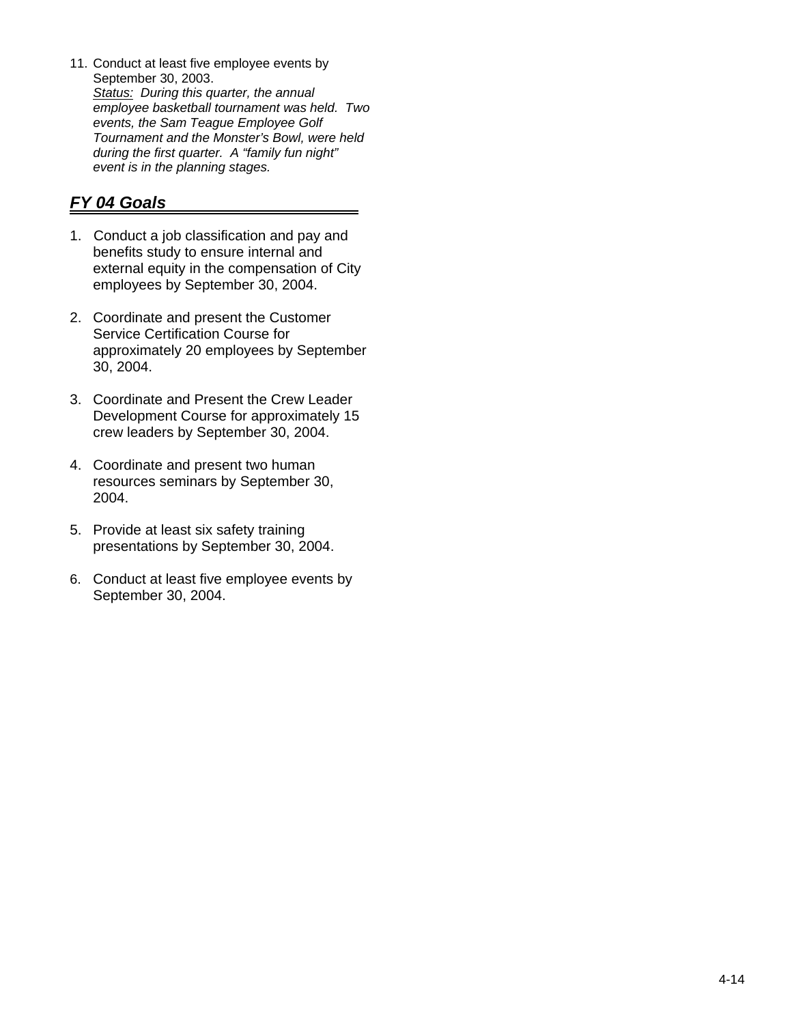11. Conduct at least five employee events by September 30, 2003. *Status: During this quarter, the annual employee basketball tournament was held. Two events, the Sam Teague Employee Golf Tournament and the Monster's Bowl, were held during the first quarter. A "family fun night" event is in the planning stages.* 

- 1. Conduct a job classification and pay and benefits study to ensure internal and external equity in the compensation of City employees by September 30, 2004.
- 2. Coordinate and present the Customer Service Certification Course for approximately 20 employees by September 30, 2004.
- 3. Coordinate and Present the Crew Leader Development Course for approximately 15 crew leaders by September 30, 2004.
- 4. Coordinate and present two human resources seminars by September 30, 2004.
- 5. Provide at least six safety training presentations by September 30, 2004.
- 6. Conduct at least five employee events by September 30, 2004.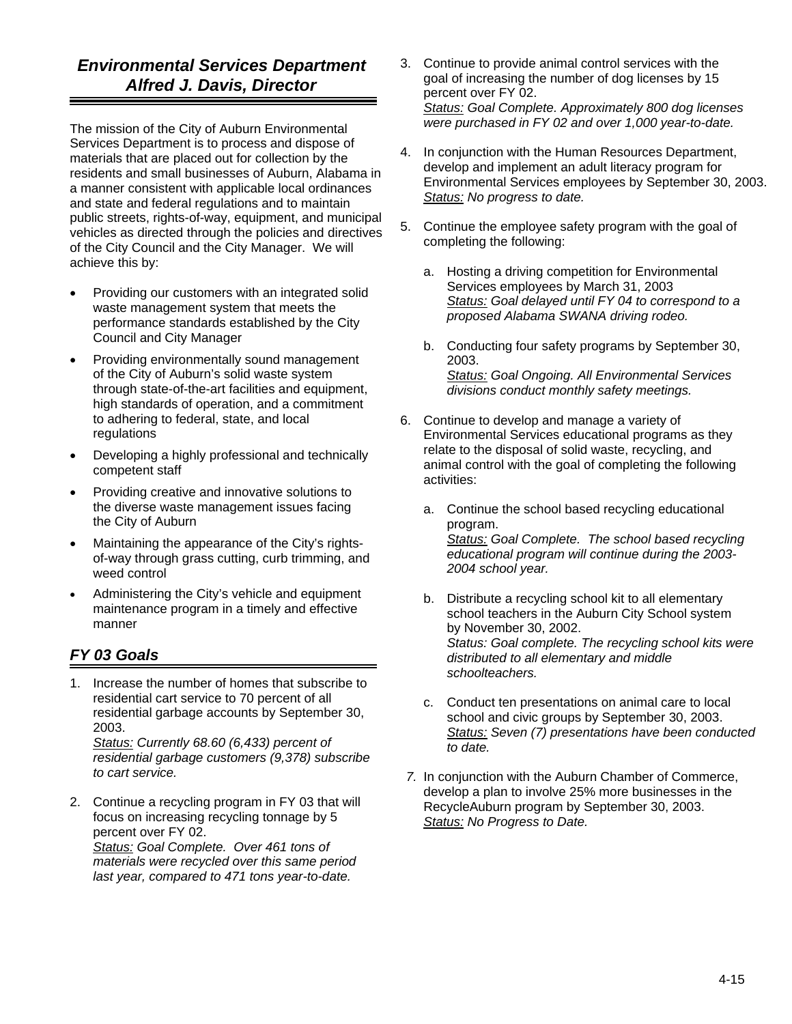# *Environmental Services Department Alfred J. Davis, Director*

The mission of the City of Auburn Environmental Services Department is to process and dispose of materials that are placed out for collection by the residents and small businesses of Auburn, Alabama in a manner consistent with applicable local ordinances and state and federal regulations and to maintain public streets, rights-of-way, equipment, and municipal vehicles as directed through the policies and directives of the City Council and the City Manager. We will achieve this by:

- Providing our customers with an integrated solid waste management system that meets the performance standards established by the City Council and City Manager
- Providing environmentally sound management of the City of Auburn's solid waste system through state-of-the-art facilities and equipment, high standards of operation, and a commitment to adhering to federal, state, and local regulations
- Developing a highly professional and technically competent staff
- Providing creative and innovative solutions to the diverse waste management issues facing the City of Auburn
- Maintaining the appearance of the City's rightsof-way through grass cutting, curb trimming, and weed control
- Administering the City's vehicle and equipment maintenance program in a timely and effective manner

# *FY 03 Goals*

1. Increase the number of homes that subscribe to residential cart service to 70 percent of all residential garbage accounts by September 30, 2003.

*Status: Currently 68.60 (6,433) percent of residential garbage customers (9,378) subscribe to cart service.* 

2. Continue a recycling program in FY 03 that will focus on increasing recycling tonnage by 5 percent over FY 02.

*Status: Goal Complete. Over 461 tons of materials were recycled over this same period last year, compared to 471 tons year-to-date.* 

- 3. Continue to provide animal control services with the goal of increasing the number of dog licenses by 15 percent over FY 02. *Status: Goal Complete. Approximately 800 dog licenses were purchased in FY 02 and over 1,000 year-to-date.*
- 4. In conjunction with the Human Resources Department, develop and implement an adult literacy program for Environmental Services employees by September 30, 2003. *Status: No progress to date.*
- 5. Continue the employee safety program with the goal of completing the following:
	- a. Hosting a driving competition for Environmental Services employees by March 31, 2003 *Status: Goal delayed until FY 04 to correspond to a proposed Alabama SWANA driving rodeo.*
	- b. Conducting four safety programs by September 30, 2003. *Status: Goal Ongoing. All Environmental Services divisions conduct monthly safety meetings.*
- 6. Continue to develop and manage a variety of Environmental Services educational programs as they relate to the disposal of solid waste, recycling, and animal control with the goal of completing the following activities:
	- a. Continue the school based recycling educational program. *Status: Goal Complete. The school based recycling educational program will continue during the 2003- 2004 school year.*
	- b. Distribute a recycling school kit to all elementary school teachers in the Auburn City School system by November 30, 2002. *Status: Goal complete. The recycling school kits were distributed to all elementary and middle schoolteachers.*
	- c. Conduct ten presentations on animal care to local school and civic groups by September 30, 2003. *Status: Seven (7) presentations have been conducted to date.*
- *7.* In conjunction with the Auburn Chamber of Commerce, develop a plan to involve 25% more businesses in the RecycleAuburn program by September 30, 2003. *Status: No Progress to Date.*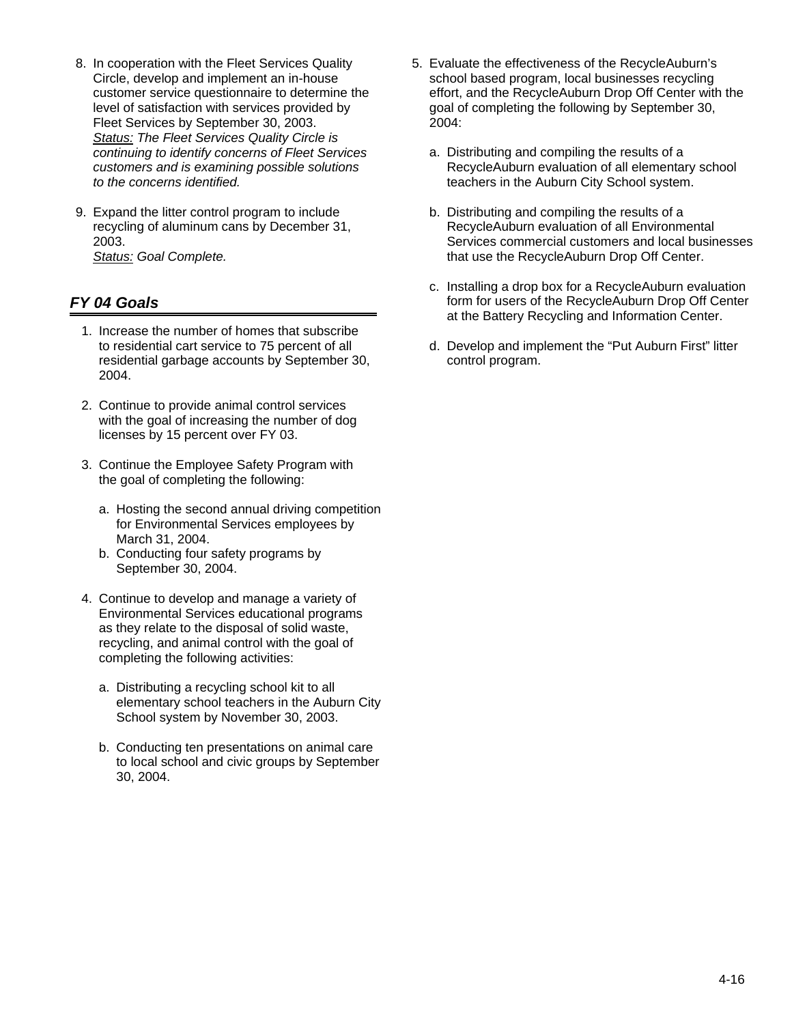- 8. In cooperation with the Fleet Services Quality Circle, develop and implement an in-house customer service questionnaire to determine the level of satisfaction with services provided by Fleet Services by September 30, 2003. *Status: The Fleet Services Quality Circle is continuing to identify concerns of Fleet Services customers and is examining possible solutions to the concerns identified.*
- 9. Expand the litter control program to include recycling of aluminum cans by December 31, 2003. *Status: Goal Complete.*

- 1. Increase the number of homes that subscribe to residential cart service to 75 percent of all residential garbage accounts by September 30, 2004.
- 2. Continue to provide animal control services with the goal of increasing the number of dog licenses by 15 percent over FY 03.
- 3. Continue the Employee Safety Program with the goal of completing the following:
	- a. Hosting the second annual driving competition for Environmental Services employees by March 31, 2004.
	- b. Conducting four safety programs by September 30, 2004.
- 4. Continue to develop and manage a variety of Environmental Services educational programs as they relate to the disposal of solid waste, recycling, and animal control with the goal of completing the following activities:
	- a. Distributing a recycling school kit to all elementary school teachers in the Auburn City School system by November 30, 2003.
	- b. Conducting ten presentations on animal care to local school and civic groups by September 30, 2004.
- 5. Evaluate the effectiveness of the RecycleAuburn's school based program, local businesses recycling effort, and the RecycleAuburn Drop Off Center with the goal of completing the following by September 30, 2004:
	- a. Distributing and compiling the results of a RecycleAuburn evaluation of all elementary school teachers in the Auburn City School system.
	- b. Distributing and compiling the results of a RecycleAuburn evaluation of all Environmental Services commercial customers and local businesses that use the RecycleAuburn Drop Off Center.
	- c. Installing a drop box for a RecycleAuburn evaluation form for users of the RecycleAuburn Drop Off Center at the Battery Recycling and Information Center.
	- d. Develop and implement the "Put Auburn First" litter control program.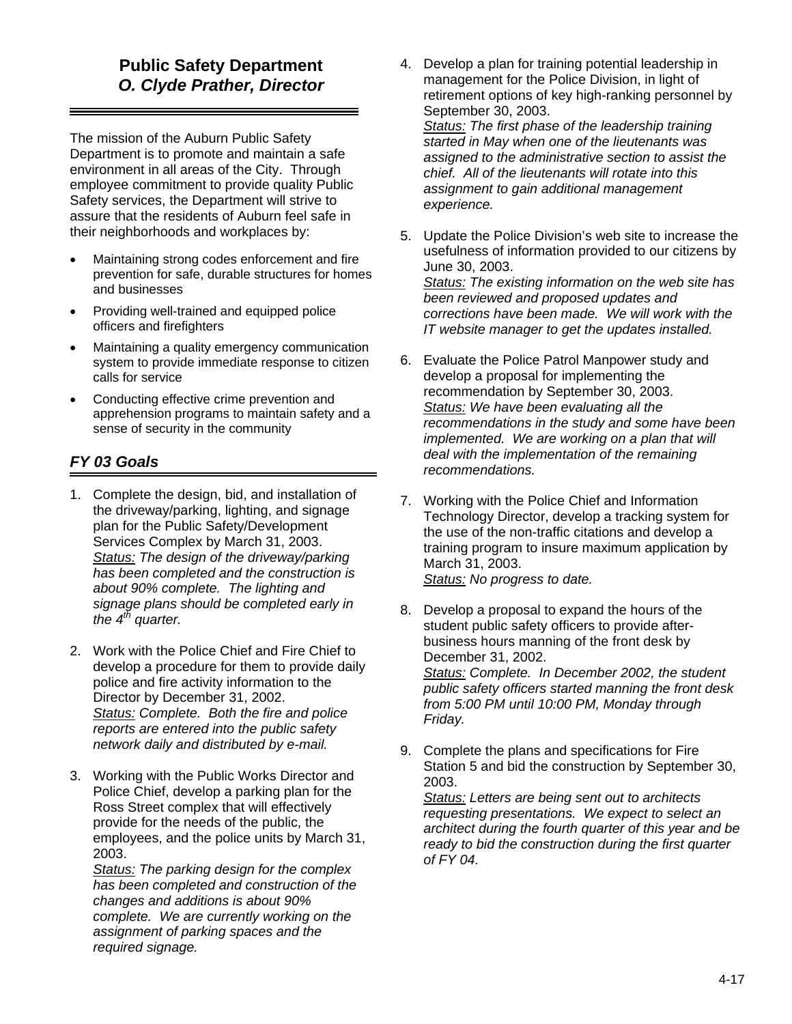# **Public Safety Department**  *O. Clyde Prather, Director*

The mission of the Auburn Public Safety Department is to promote and maintain a safe environment in all areas of the City. Through employee commitment to provide quality Public Safety services, the Department will strive to assure that the residents of Auburn feel safe in their neighborhoods and workplaces by:

- Maintaining strong codes enforcement and fire prevention for safe, durable structures for homes and businesses
- Providing well-trained and equipped police officers and firefighters
- Maintaining a quality emergency communication system to provide immediate response to citizen calls for service
- Conducting effective crime prevention and apprehension programs to maintain safety and a sense of security in the community

# *FY 03 Goals*

- 1. Complete the design, bid, and installation of the driveway/parking, lighting, and signage plan for the Public Safety/Development Services Complex by March 31, 2003. *Status: The design of the driveway/parking has been completed and the construction is about 90% complete. The lighting and signage plans should be completed early in the 4th quarter.*
- 2. Work with the Police Chief and Fire Chief to develop a procedure for them to provide daily police and fire activity information to the Director by December 31, 2002. *Status: Complete. Both the fire and police reports are entered into the public safety network daily and distributed by e-mail.*
- 3. Working with the Public Works Director and Police Chief, develop a parking plan for the Ross Street complex that will effectively provide for the needs of the public, the employees, and the police units by March 31, 2003.

*Status: The parking design for the complex has been completed and construction of the changes and additions is about 90% complete. We are currently working on the assignment of parking spaces and the required signage.* 

- 4. Develop a plan for training potential leadership in management for the Police Division, in light of retirement options of key high-ranking personnel by September 30, 2003. *Status: The first phase of the leadership training started in May when one of the lieutenants was assigned to the administrative section to assist the chief. All of the lieutenants will rotate into this assignment to gain additional management experience.*
- 5. Update the Police Division's web site to increase the usefulness of information provided to our citizens by June 30, 2003.

*Status: The existing information on the web site has been reviewed and proposed updates and corrections have been made. We will work with the IT website manager to get the updates installed.* 

- 6. Evaluate the Police Patrol Manpower study and develop a proposal for implementing the recommendation by September 30, 2003. *Status: We have been evaluating all the recommendations in the study and some have been implemented. We are working on a plan that will deal with the implementation of the remaining recommendations.*
- 7. Working with the Police Chief and Information Technology Director, develop a tracking system for the use of the non-traffic citations and develop a training program to insure maximum application by March 31, 2003. *Status: No progress to date.*
- 8. Develop a proposal to expand the hours of the student public safety officers to provide afterbusiness hours manning of the front desk by December 31, 2002. *Status: Complete. In December 2002, the student public safety officers started manning the front desk from 5:00 PM until 10:00 PM, Monday through Friday.*
- 9. Complete the plans and specifications for Fire Station 5 and bid the construction by September 30, 2003.

*Status: Letters are being sent out to architects requesting presentations. We expect to select an architect during the fourth quarter of this year and be ready to bid the construction during the first quarter of FY 04.*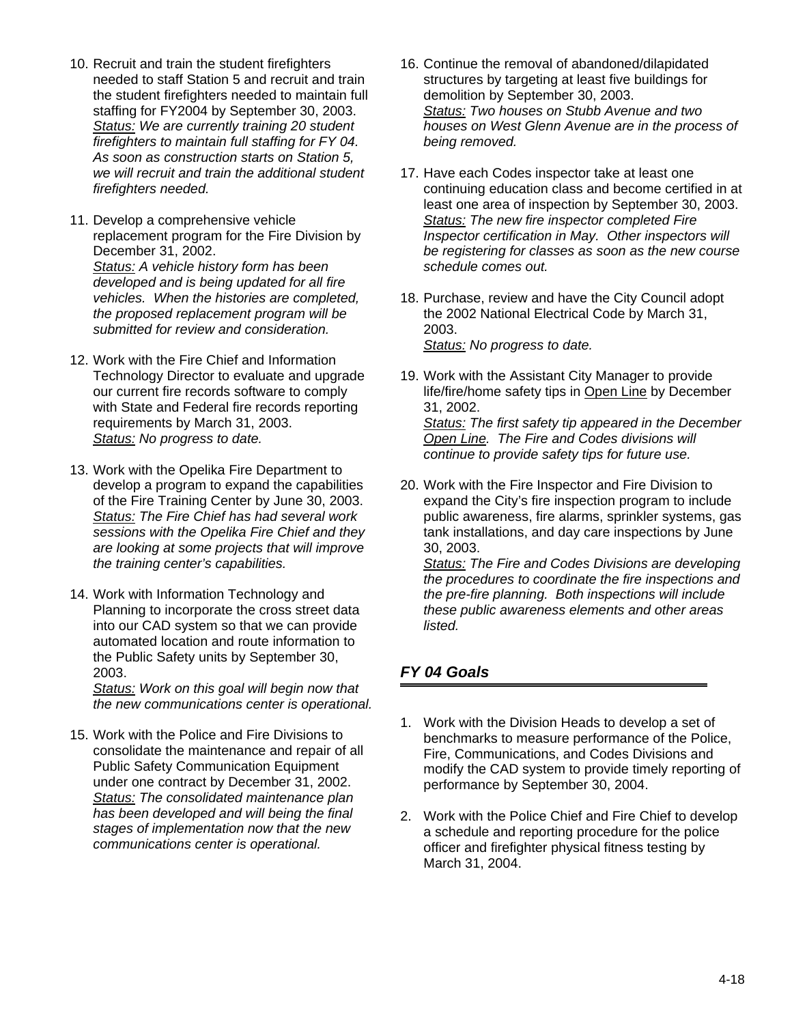- 10. Recruit and train the student firefighters needed to staff Station 5 and recruit and train the student firefighters needed to maintain full staffing for FY2004 by September 30, 2003. *Status: We are currently training 20 student firefighters to maintain full staffing for FY 04. As soon as construction starts on Station 5, we will recruit and train the additional student firefighters needed.*
- 11. Develop a comprehensive vehicle replacement program for the Fire Division by December 31, 2002. *Status: A vehicle history form has been developed and is being updated for all fire vehicles. When the histories are completed, the proposed replacement program will be submitted for review and consideration.*
- 12. Work with the Fire Chief and Information Technology Director to evaluate and upgrade our current fire records software to comply with State and Federal fire records reporting requirements by March 31, 2003. *Status: No progress to date.*
- 13. Work with the Opelika Fire Department to develop a program to expand the capabilities of the Fire Training Center by June 30, 2003. *Status: The Fire Chief has had several work sessions with the Opelika Fire Chief and they are looking at some projects that will improve the training center's capabilities.*
- 14. Work with Information Technology and Planning to incorporate the cross street data into our CAD system so that we can provide automated location and route information to the Public Safety units by September 30, 2003.

*Status: Work on this goal will begin now that the new communications center is operational.* 

15. Work with the Police and Fire Divisions to consolidate the maintenance and repair of all Public Safety Communication Equipment under one contract by December 31, 2002. *Status: The consolidated maintenance plan has been developed and will being the final stages of implementation now that the new communications center is operational.* 

- 16. Continue the removal of abandoned/dilapidated structures by targeting at least five buildings for demolition by September 30, 2003. *Status: Two houses on Stubb Avenue and two houses on West Glenn Avenue are in the process of being removed.*
- 17. Have each Codes inspector take at least one continuing education class and become certified in at least one area of inspection by September 30, 2003. *Status: The new fire inspector completed Fire Inspector certification in May. Other inspectors will be registering for classes as soon as the new course schedule comes out.*
- 18. Purchase, review and have the City Council adopt the 2002 National Electrical Code by March 31, 2003. *Status: No progress to date.*
- 19. Work with the Assistant City Manager to provide life/fire/home safety tips in Open Line by December 31, 2002. *Status: The first safety tip appeared in the December Open Line. The Fire and Codes divisions will*

*continue to provide safety tips for future use.* 

20. Work with the Fire Inspector and Fire Division to expand the City's fire inspection program to include public awareness, fire alarms, sprinkler systems, gas tank installations, and day care inspections by June

30, 2003. *Status: The Fire and Codes Divisions are developing the procedures to coordinate the fire inspections and the pre-fire planning. Both inspections will include these public awareness elements and other areas listed.* 

- 1. Work with the Division Heads to develop a set of benchmarks to measure performance of the Police, Fire, Communications, and Codes Divisions and modify the CAD system to provide timely reporting of performance by September 30, 2004.
- 2. Work with the Police Chief and Fire Chief to develop a schedule and reporting procedure for the police officer and firefighter physical fitness testing by March 31, 2004.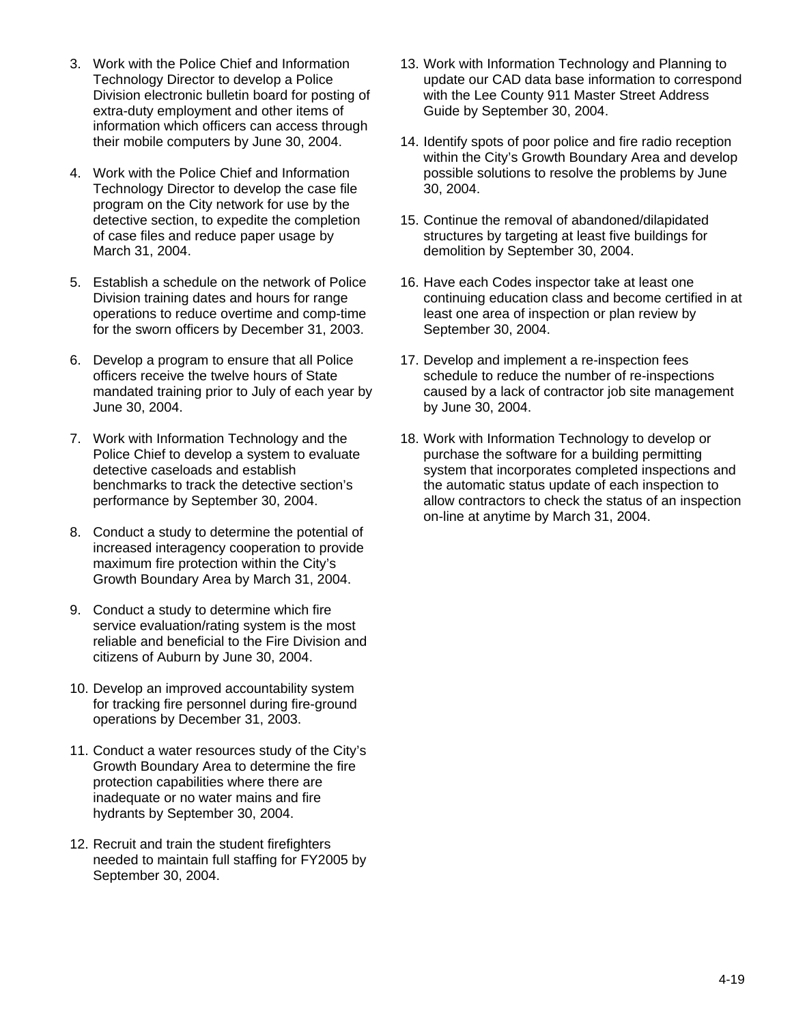- 3. Work with the Police Chief and Information Technology Director to develop a Police Division electronic bulletin board for posting of extra-duty employment and other items of information which officers can access through their mobile computers by June 30, 2004.
- 4. Work with the Police Chief and Information Technology Director to develop the case file program on the City network for use by the detective section, to expedite the completion of case files and reduce paper usage by March 31, 2004.
- 5. Establish a schedule on the network of Police Division training dates and hours for range operations to reduce overtime and comp-time for the sworn officers by December 31, 2003.
- 6. Develop a program to ensure that all Police officers receive the twelve hours of State mandated training prior to July of each year by June 30, 2004.
- 7. Work with Information Technology and the Police Chief to develop a system to evaluate detective caseloads and establish benchmarks to track the detective section's performance by September 30, 2004.
- 8. Conduct a study to determine the potential of increased interagency cooperation to provide maximum fire protection within the City's Growth Boundary Area by March 31, 2004.
- 9. Conduct a study to determine which fire service evaluation/rating system is the most reliable and beneficial to the Fire Division and citizens of Auburn by June 30, 2004.
- 10. Develop an improved accountability system for tracking fire personnel during fire-ground operations by December 31, 2003.
- 11. Conduct a water resources study of the City's Growth Boundary Area to determine the fire protection capabilities where there are inadequate or no water mains and fire hydrants by September 30, 2004.
- 12. Recruit and train the student firefighters needed to maintain full staffing for FY2005 by September 30, 2004.
- 13. Work with Information Technology and Planning to update our CAD data base information to correspond with the Lee County 911 Master Street Address Guide by September 30, 2004.
- 14. Identify spots of poor police and fire radio reception within the City's Growth Boundary Area and develop possible solutions to resolve the problems by June 30, 2004.
- 15. Continue the removal of abandoned/dilapidated structures by targeting at least five buildings for demolition by September 30, 2004.
- 16. Have each Codes inspector take at least one continuing education class and become certified in at least one area of inspection or plan review by September 30, 2004.
- 17. Develop and implement a re-inspection fees schedule to reduce the number of re-inspections caused by a lack of contractor job site management by June 30, 2004.
- 18. Work with Information Technology to develop or purchase the software for a building permitting system that incorporates completed inspections and the automatic status update of each inspection to allow contractors to check the status of an inspection on-line at anytime by March 31, 2004.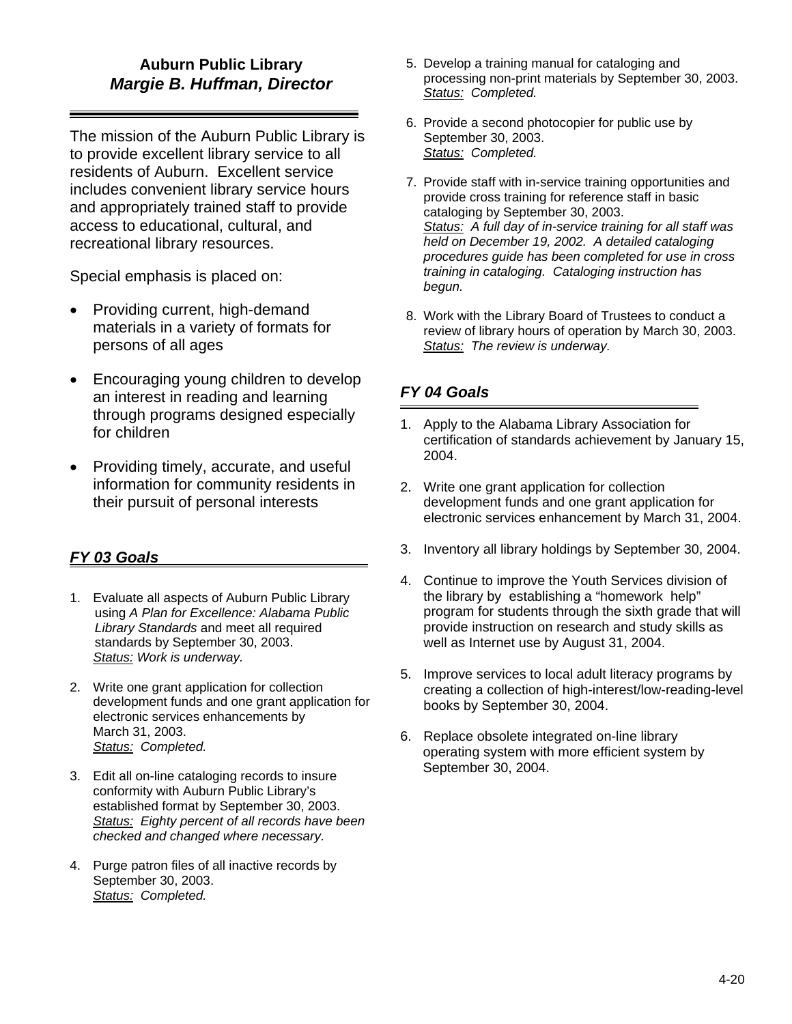## **Auburn Public Library**  *Margie B. Huffman, Director*

The mission of the Auburn Public Library is to provide excellent library service to all residents of Auburn. Excellent service includes convenient library service hours and appropriately trained staff to provide access to educational, cultural, and recreational library resources.

Special emphasis is placed on:

- Providing current, high-demand materials in a variety of formats for persons of all ages
- Encouraging young children to develop an interest in reading and learning through programs designed especially for children
- Providing timely, accurate, and useful information for community residents in their pursuit of personal interests

# *FY 03 Goals*

- 1. Evaluate all aspects of Auburn Public Library using *A Plan for Excellence: Alabama Public Library Standards* and meet all required standards by September 30, 2003. *Status: Work is underway.*
- 2. Write one grant application for collection development funds and one grant application for electronic services enhancements by March 31, 2003. *Status: Completed.*
- 3. Edit all on-line cataloging records to insure conformity with Auburn Public Library's established format by September 30, 2003. *Status: Eighty percent of all records have been checked and changed where necessary.*
- 4. Purge patron files of all inactive records by September 30, 2003. *Status: Completed.*
- 5. Develop a training manual for cataloging and processing non-print materials by September 30, 2003. *Status: Completed.*
- 6. Provide a second photocopier for public use by September 30, 2003. *Status: Completed.*
- 7. Provide staff with in-service training opportunities and provide cross training for reference staff in basic cataloging by September 30, 2003. *Status: A full day of in-service training for all staff was held on December 19, 2002. A detailed cataloging procedures guide has been completed for use in cross training in cataloging. Cataloging instruction has begun.*
- 8. Work with the Library Board of Trustees to conduct a review of library hours of operation by March 30, 2003. *Status: The review is underway.*

- 1. Apply to the Alabama Library Association for certification of standards achievement by January 15, 2004.
- 2. Write one grant application for collection development funds and one grant application for electronic services enhancement by March 31, 2004.
- 3. Inventory all library holdings by September 30, 2004.
- 4. Continue to improve the Youth Services division of the library by establishing a "homework help" program for students through the sixth grade that will provide instruction on research and study skills as well as Internet use by August 31, 2004.
- 5. Improve services to local adult literacy programs by creating a collection of high-interest/low-reading-level books by September 30, 2004.
- 6. Replace obsolete integrated on-line library operating system with more efficient system by September 30, 2004.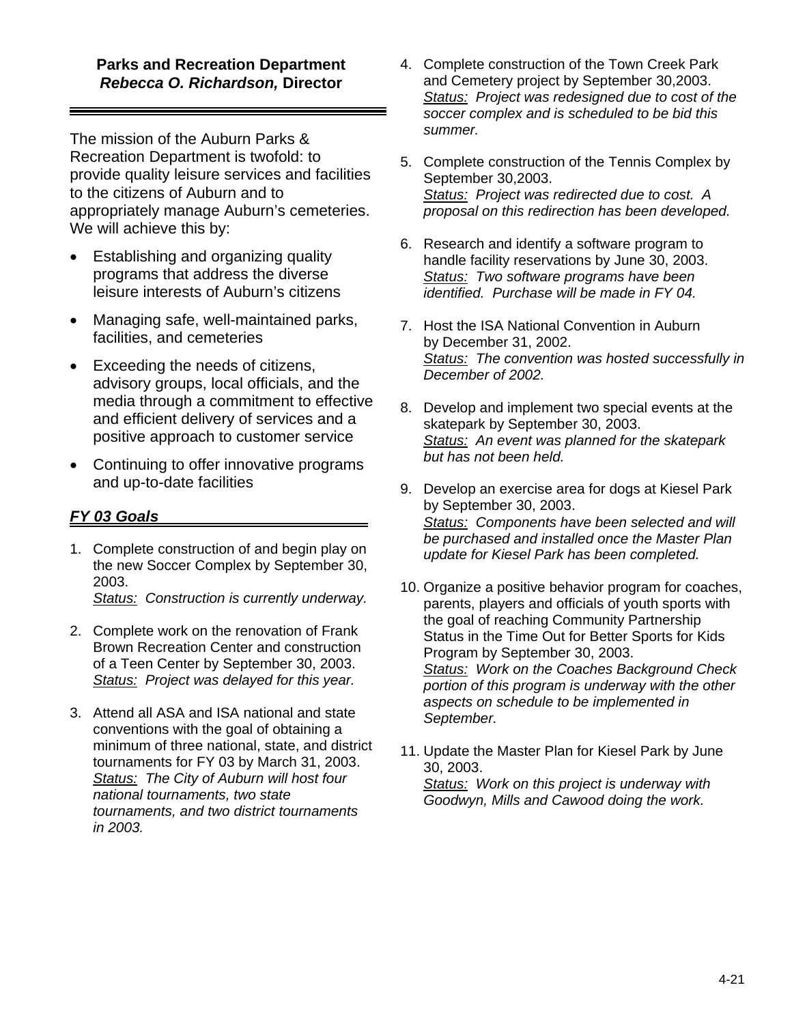#### **Parks and Recreation Department**  *Rebecca O. Richardson,* **Director**

The mission of the Auburn Parks & Recreation Department is twofold: to provide quality leisure services and facilities to the citizens of Auburn and to appropriately manage Auburn's cemeteries. We will achieve this by:

- Establishing and organizing quality programs that address the diverse leisure interests of Auburn's citizens
- Managing safe, well-maintained parks, facilities, and cemeteries
- Exceeding the needs of citizens, advisory groups, local officials, and the media through a commitment to effective and efficient delivery of services and a positive approach to customer service
- Continuing to offer innovative programs and up-to-date facilities

#### *FY 03 Goals*

1. Complete construction of and begin play on the new Soccer Complex by September 30, 2003.

*Status: Construction is currently underway.* 

- 2. Complete work on the renovation of Frank Brown Recreation Center and construction of a Teen Center by September 30, 2003. *Status: Project was delayed for this year.*
- 3. Attend all ASA and ISA national and state conventions with the goal of obtaining a minimum of three national, state, and district tournaments for FY 03 by March 31, 2003. *Status: The City of Auburn will host four national tournaments, two state tournaments, and two district tournaments in 2003.*
- 4. Complete construction of the Town Creek Park and Cemetery project by September 30,2003. *Status: Project was redesigned due to cost of the soccer complex and is scheduled to be bid this summer.*
- 5. Complete construction of the Tennis Complex by September 30,2003. *Status: Project was redirected due to cost. A proposal on this redirection has been developed.*
- 6. Research and identify a software program to handle facility reservations by June 30, 2003. *Status: Two software programs have been identified. Purchase will be made in FY 04.*
- 7. Host the ISA National Convention in Auburn by December 31, 2002. *Status: The convention was hosted successfully in December of 2002.*
- 8. Develop and implement two special events at the skatepark by September 30, 2003. *Status: An event was planned for the skatepark but has not been held.*
- 9. Develop an exercise area for dogs at Kiesel Park by September 30, 2003. *Status: Components have been selected and will be purchased and installed once the Master Plan update for Kiesel Park has been completed.*
- 10. Organize a positive behavior program for coaches, parents, players and officials of youth sports with the goal of reaching Community Partnership Status in the Time Out for Better Sports for Kids Program by September 30, 2003. *Status: Work on the Coaches Background Check portion of this program is underway with the other aspects on schedule to be implemented in September.*
- 11. Update the Master Plan for Kiesel Park by June 30, 2003.

*Status: Work on this project is underway with Goodwyn, Mills and Cawood doing the work.*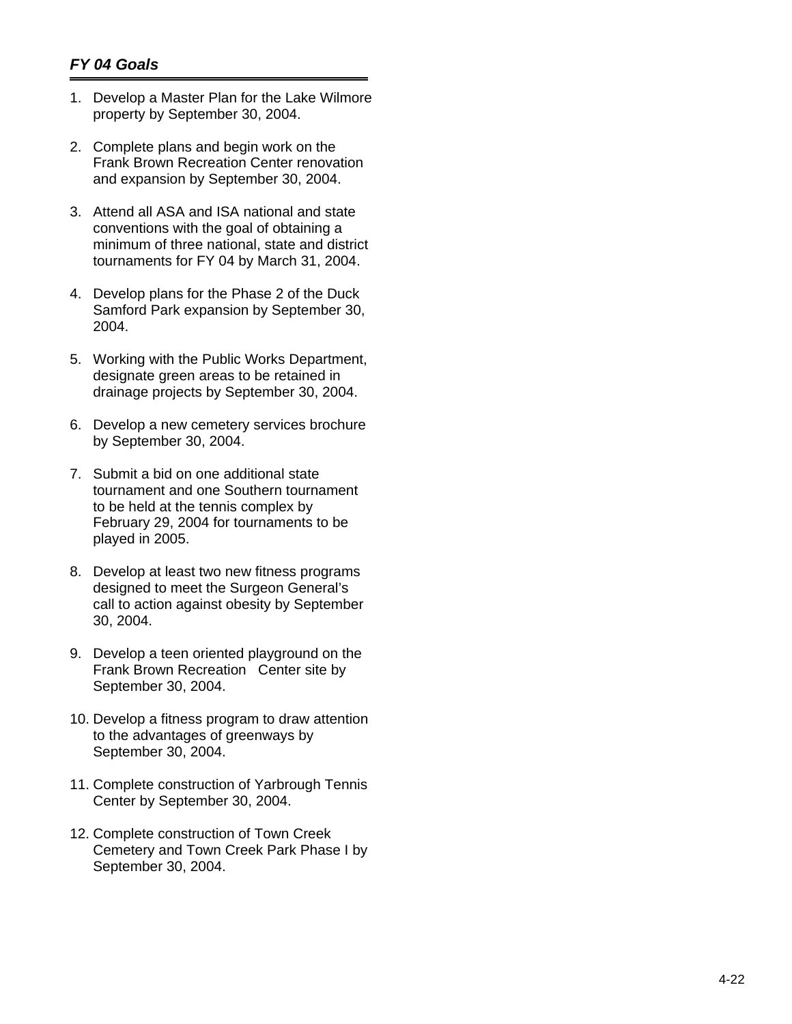- 1. Develop a Master Plan for the Lake Wilmore property by September 30, 2004.
- 2. Complete plans and begin work on the Frank Brown Recreation Center renovation and expansion by September 30, 2004.
- 3. Attend all ASA and ISA national and state conventions with the goal of obtaining a minimum of three national, state and district tournaments for FY 04 by March 31, 2004.
- 4. Develop plans for the Phase 2 of the Duck Samford Park expansion by September 30, 2004.
- 5. Working with the Public Works Department, designate green areas to be retained in drainage projects by September 30, 2004.
- 6. Develop a new cemetery services brochure by September 30, 2004.
- 7. Submit a bid on one additional state tournament and one Southern tournament to be held at the tennis complex by February 29, 2004 for tournaments to be played in 2005.
- 8. Develop at least two new fitness programs designed to meet the Surgeon General's call to action against obesity by September 30, 2004.
- 9. Develop a teen oriented playground on the Frank Brown Recreation Center site by September 30, 2004.
- 10. Develop a fitness program to draw attention to the advantages of greenways by September 30, 2004.
- 11. Complete construction of Yarbrough Tennis Center by September 30, 2004.
- 12. Complete construction of Town Creek Cemetery and Town Creek Park Phase I by September 30, 2004.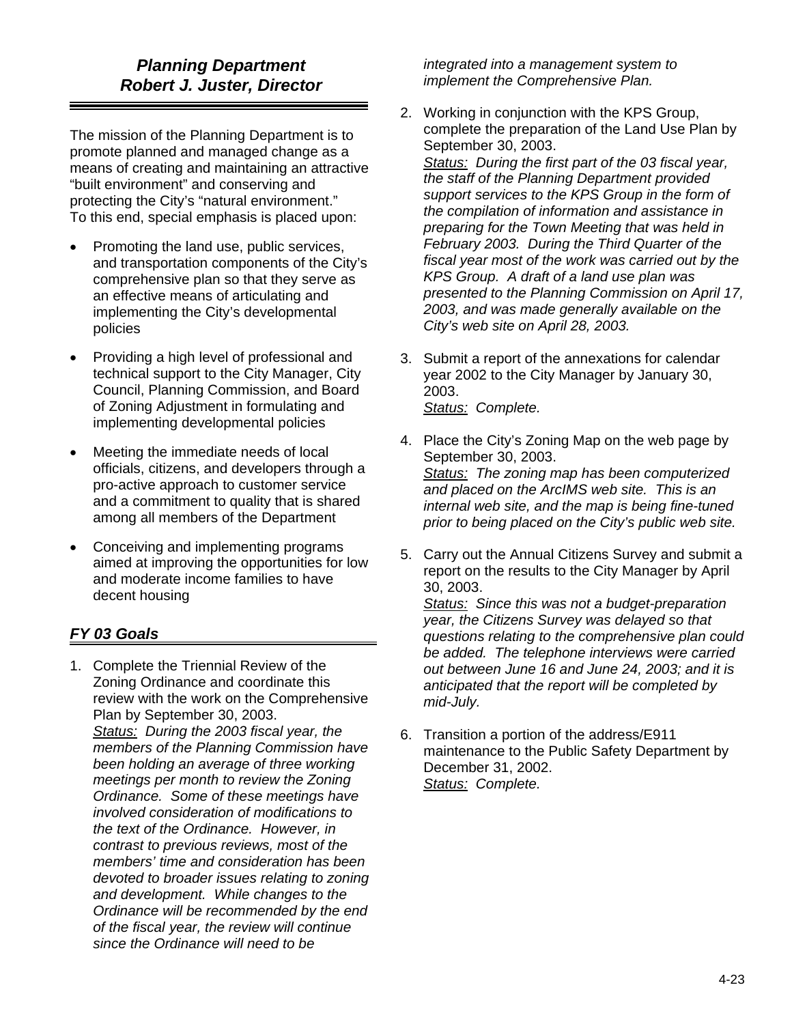The mission of the Planning Department is to promote planned and managed change as a means of creating and maintaining an attractive "built environment" and conserving and protecting the City's "natural environment." To this end, special emphasis is placed upon:

- Promoting the land use, public services, and transportation components of the City's comprehensive plan so that they serve as an effective means of articulating and implementing the City's developmental policies
- Providing a high level of professional and technical support to the City Manager, City Council, Planning Commission, and Board of Zoning Adjustment in formulating and implementing developmental policies
- Meeting the immediate needs of local officials, citizens, and developers through a pro-active approach to customer service and a commitment to quality that is shared among all members of the Department
- Conceiving and implementing programs aimed at improving the opportunities for low and moderate income families to have decent housing

# *FY 03 Goals*

1. Complete the Triennial Review of the Zoning Ordinance and coordinate this review with the work on the Comprehensive Plan by September 30, 2003. *Status: During the 2003 fiscal year, the members of the Planning Commission have been holding an average of three working meetings per month to review the Zoning Ordinance. Some of these meetings have involved consideration of modifications to the text of the Ordinance. However, in contrast to previous reviews, most of the members' time and consideration has been devoted to broader issues relating to zoning and development. While changes to the Ordinance will be recommended by the end of the fiscal year, the review will continue since the Ordinance will need to be* 

*integrated into a management system to implement the Comprehensive Plan.* 

- 2. Working in conjunction with the KPS Group, complete the preparation of the Land Use Plan by September 30, 2003. *Status: During the first part of the 03 fiscal year, the staff of the Planning Department provided support services to the KPS Group in the form of the compilation of information and assistance in preparing for the Town Meeting that was held in February 2003. During the Third Quarter of the fiscal year most of the work was carried out by the KPS Group. A draft of a land use plan was presented to the Planning Commission on April 17, 2003, and was made generally available on the City's web site on April 28, 2003.*
- 3. Submit a report of the annexations for calendar year 2002 to the City Manager by January 30, 2003. *Status: Complete.*
- 4. Place the City's Zoning Map on the web page by September 30, 2003. *Status: The zoning map has been computerized and placed on the ArcIMS web site. This is an internal web site, and the map is being fine-tuned prior to being placed on the City's public web site.*
- 5. Carry out the Annual Citizens Survey and submit a report on the results to the City Manager by April 30, 2003.

*Status: Since this was not a budget-preparation year, the Citizens Survey was delayed so that questions relating to the comprehensive plan could be added. The telephone interviews were carried out between June 16 and June 24, 2003; and it is anticipated that the report will be completed by mid-July.* 

6. Transition a portion of the address/E911 maintenance to the Public Safety Department by December 31, 2002. *Status: Complete.*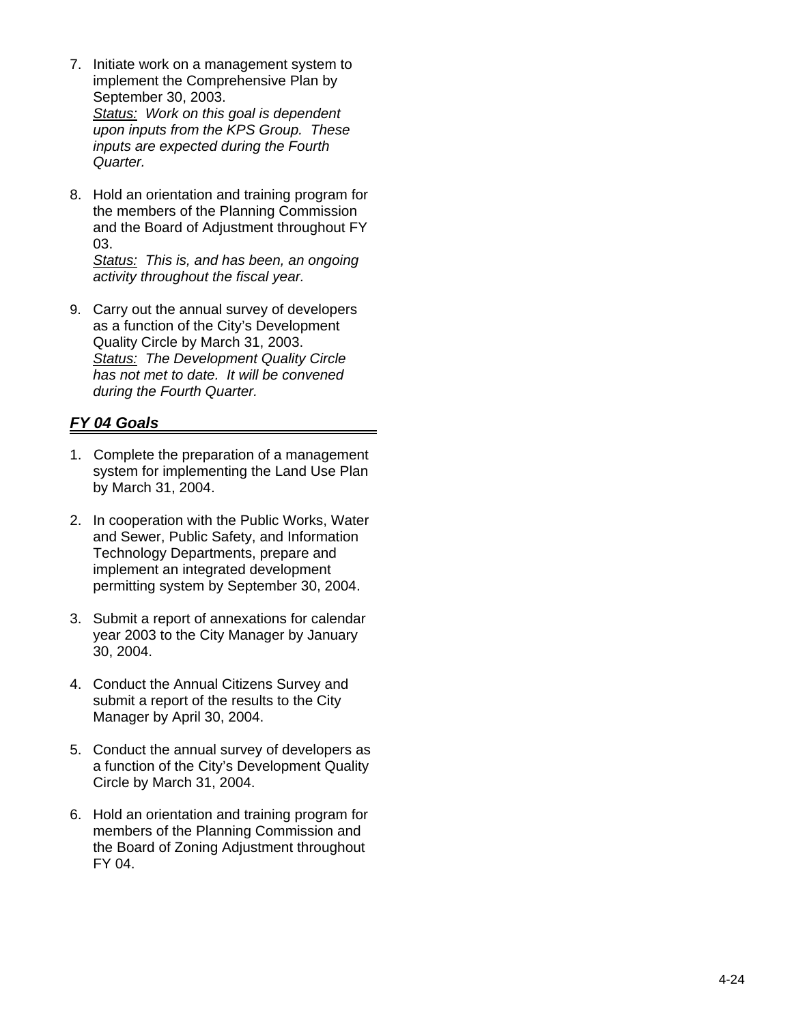- 7. Initiate work on a management system to implement the Comprehensive Plan by September 30, 2003. *Status: Work on this goal is dependent upon inputs from the KPS Group. These inputs are expected during the Fourth Quarter.*
- 8. Hold an orientation and training program for the members of the Planning Commission and the Board of Adjustment throughout FY 03.

*Status: This is, and has been, an ongoing activity throughout the fiscal year.* 

9. Carry out the annual survey of developers as a function of the City's Development Quality Circle by March 31, 2003. *Status: The Development Quality Circle has not met to date. It will be convened during the Fourth Quarter.* 

- 1. Complete the preparation of a management system for implementing the Land Use Plan by March 31, 2004.
- 2. In cooperation with the Public Works, Water and Sewer, Public Safety, and Information Technology Departments, prepare and implement an integrated development permitting system by September 30, 2004.
- 3. Submit a report of annexations for calendar year 2003 to the City Manager by January 30, 2004.
- 4. Conduct the Annual Citizens Survey and submit a report of the results to the City Manager by April 30, 2004.
- 5. Conduct the annual survey of developers as a function of the City's Development Quality Circle by March 31, 2004.
- 6. Hold an orientation and training program for members of the Planning Commission and the Board of Zoning Adjustment throughout FY 04.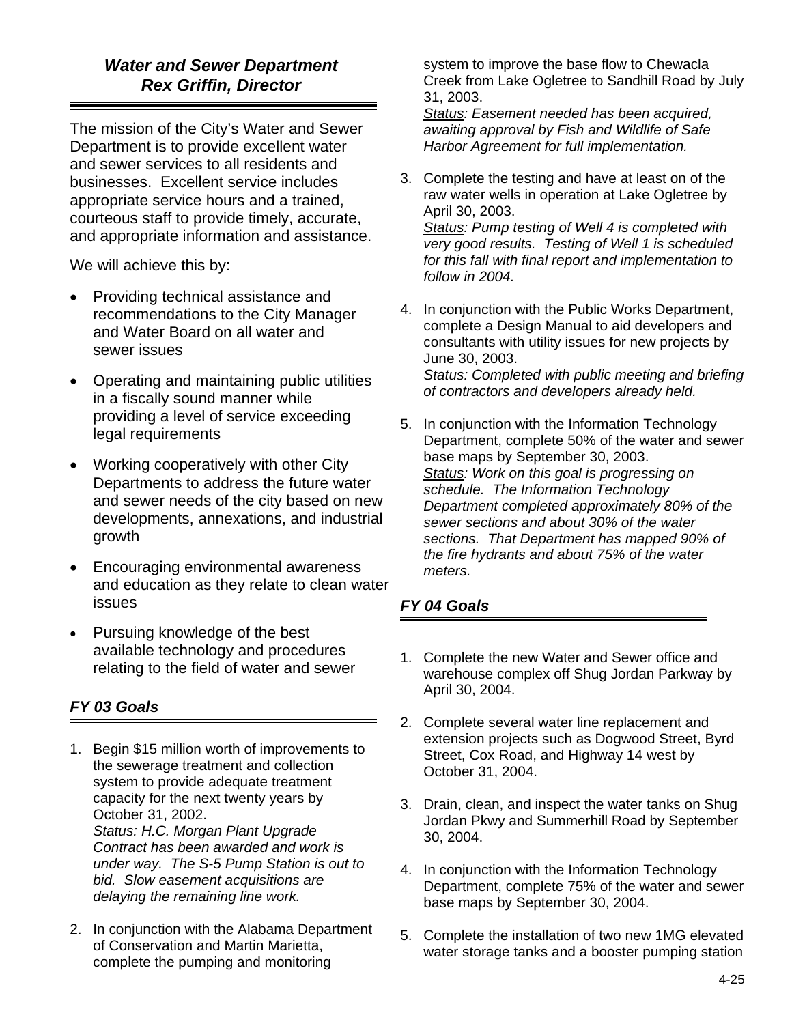# *Water and Sewer Department Rex Griffin, Director*

The mission of the City's Water and Sewer Department is to provide excellent water and sewer services to all residents and businesses. Excellent service includes appropriate service hours and a trained, courteous staff to provide timely, accurate, and appropriate information and assistance.

We will achieve this by:

- Providing technical assistance and recommendations to the City Manager and Water Board on all water and sewer issues
- Operating and maintaining public utilities in a fiscally sound manner while providing a level of service exceeding legal requirements
- Working cooperatively with other City Departments to address the future water and sewer needs of the city based on new developments, annexations, and industrial growth
- Encouraging environmental awareness and education as they relate to clean water issues
- Pursuing knowledge of the best available technology and procedures relating to the field of water and sewer

# *FY 03 Goals*

1. Begin \$15 million worth of improvements to the sewerage treatment and collection system to provide adequate treatment capacity for the next twenty years by October 31, 2002. *Status: H.C. Morgan Plant Upgrade Contract has been awarded and work is* 

*under way. The S-5 Pump Station is out to bid. Slow easement acquisitions are delaying the remaining line work.* 

2. In conjunction with the Alabama Department of Conservation and Martin Marietta, complete the pumping and monitoring

system to improve the base flow to Chewacla Creek from Lake Ogletree to Sandhill Road by July 31, 2003.

*Status: Easement needed has been acquired, awaiting approval by Fish and Wildlife of Safe Harbor Agreement for full implementation.* 

3. Complete the testing and have at least on of the raw water wells in operation at Lake Ogletree by April 30, 2003.

*Status: Pump testing of Well 4 is completed with very good results. Testing of Well 1 is scheduled for this fall with final report and implementation to follow in 2004.* 

- 4. In conjunction with the Public Works Department, complete a Design Manual to aid developers and consultants with utility issues for new projects by June 30, 2003. *Status: Completed with public meeting and briefing of contractors and developers already held.*
- 5. In conjunction with the Information Technology Department, complete 50% of the water and sewer base maps by September 30, 2003. *Status: Work on this goal is progressing on schedule. The Information Technology Department completed approximately 80% of the sewer sections and about 30% of the water sections. That Department has mapped 90% of the fire hydrants and about 75% of the water meters.*

- 1. Complete the new Water and Sewer office and warehouse complex off Shug Jordan Parkway by April 30, 2004.
- 2. Complete several water line replacement and extension projects such as Dogwood Street, Byrd Street, Cox Road, and Highway 14 west by October 31, 2004.
- 3. Drain, clean, and inspect the water tanks on Shug Jordan Pkwy and Summerhill Road by September 30, 2004.
- 4. In conjunction with the Information Technology Department, complete 75% of the water and sewer base maps by September 30, 2004.
- 5. Complete the installation of two new 1MG elevated water storage tanks and a booster pumping station